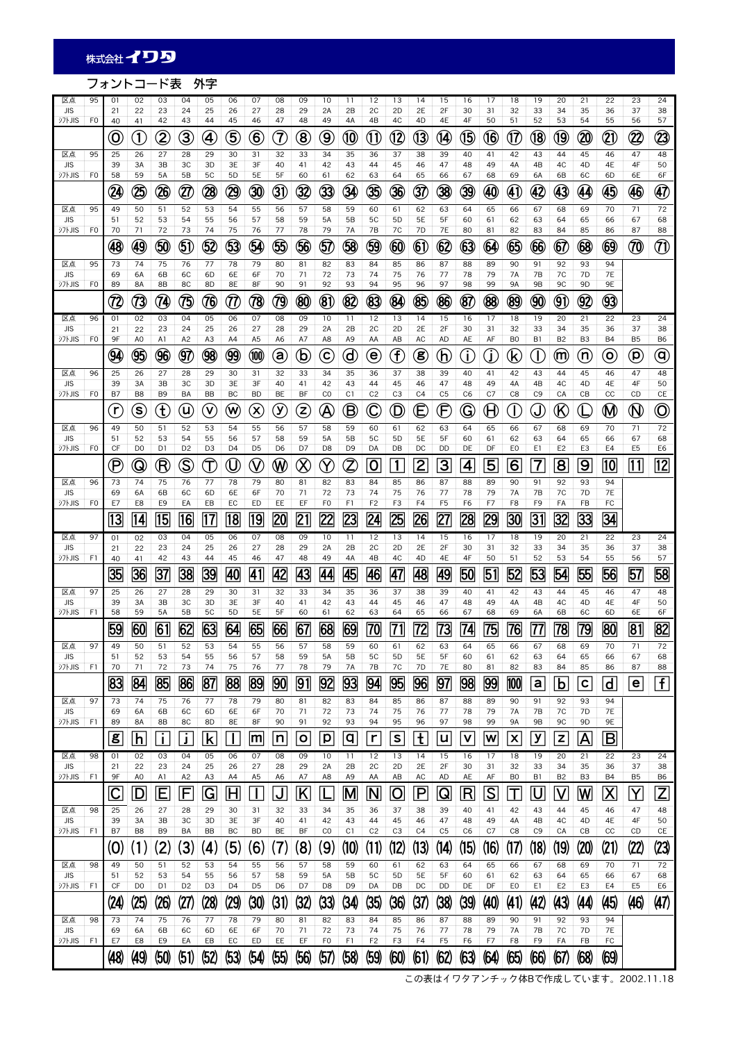## フォントコード表 外字

| 区点                          | 95             | 01                                                          | 02                   | 03                                                       | 04                    | 05                         | 06                   | 07                     | 08                                   | 09                      | 10                                | 11                   | 12                     | 13                          | 14                      | 15                   | 16                      | 17                                    | 18                   | 19                   | 20                             | 21                   | 22                         | 23                             | 24                                  |
|-----------------------------|----------------|-------------------------------------------------------------|----------------------|----------------------------------------------------------|-----------------------|----------------------------|----------------------|------------------------|--------------------------------------|-------------------------|-----------------------------------|----------------------|------------------------|-----------------------------|-------------------------|----------------------|-------------------------|---------------------------------------|----------------------|----------------------|--------------------------------|----------------------|----------------------------|--------------------------------|-------------------------------------|
| <b>JIS</b><br>シフトJIS        | F <sub>0</sub> | 21<br>40                                                    | 22<br>41             | 23<br>42                                                 | 24<br>43              | 25<br>44                   | 26<br>45             | 27<br>46               | 28<br>47                             | 29<br>48                | 2A<br>49                          | 2B<br>4A             | 2C<br>4B               | 2D<br>4C                    | 2E<br>4D                | 2F<br>4E             | 30<br>4F                | 31<br>50                              | 32<br>51             | 33<br>52             | 34<br>53                       | 35<br>54             | 36<br>55                   | 37<br>56                       | 38<br>57                            |
|                             |                | O                                                           | Œ,                   | 2                                                        | 3                     |                            | 5                    | $\mathbf{\widehat{6}}$ | $(\widehat{\mathcal{J}})$            | $\bm{8}$                | 9                                 | (10)                 | ÚÌ                     | $^{\text{\textregistered}}$ | 13                      | 14)                  | 9                       | (16                                   | (17                  | (18)                 | (19                            | 20                   | $\widehat{ \mathfrak{A}}$  | $\widehat{\mathbf{Z}}$         | 23                                  |
| 区点                          | 95             | 25                                                          | 26                   | 27                                                       | 28                    | 29                         | 30                   | 31                     | 32                                   | 33                      | 34                                | 35                   | 36                     | 37                          | 38                      | 39                   | 40                      | 41                                    | 42                   | 43                   | 44                             | 45                   | 46                         | 47                             | 48                                  |
| <b>JIS</b><br>ジフトJIS        | F <sub>0</sub> | 39<br>58                                                    | 3A<br>59             | 3B<br><b>5A</b>                                          | 3C<br>5B              | 3D<br>5C                   | 3E<br>5D             | 3F<br>5E               | 40<br>5F                             | 41<br>60                | 42<br>61                          | 43<br>62             | 44<br>63               | 45<br>64                    | 46<br>65                | 47<br>66             | 48<br>67                | 49<br>68                              | 4A<br>69             | 4B<br>6A             | 4C<br>6B                       | 4D<br>6C             | 4E<br>6D                   | 4F<br>6E                       | 50<br>6F                            |
|                             |                | Ø                                                           | $\circledS$          | $\mathfrak{B}$                                           | Q)                    | $\left( 2\right)$          | 29                   | 30                     | G)                                   | 32                      | 33                                | ଊ                    | 35                     | 36                          | 37                      | 38                   | 39                      |                                       | (4)                  | $\bf{42}$            | 43                             | 44                   | 45                         | 46                             | $\bm \bm \Phi$                      |
| 区点                          | 95             | 49                                                          | 50                   | 51                                                       | 52                    | 53                         | 54                   | 55                     | 56                                   | 57                      | 58                                | 59                   | 60                     | 61                          | 62                      | 63                   | 64                      | 65                                    | 66                   | 67                   | 68                             | 69                   | 70                         | 71                             | 72                                  |
| <b>JIS</b><br><b>シフトJIS</b> | F <sub>0</sub> | 51<br>70                                                    | 52<br>71             | 53<br>72                                                 | 54<br>73              | 55<br>74                   | 56<br>75             | 57<br>76               | 58<br>77                             | 59<br>78                | <b>5A</b><br>79                   | 5B<br><b>7A</b>      | 5C<br>7B               | 5D<br>7C                    | 5E<br>7D                | 5F<br><b>7E</b>      | 60<br>80                | 61<br>81                              | 62<br>82             | 63<br>83             | 64<br>84                       | 65<br>85             | 66<br>86                   | 67<br>87                       | 68<br>88                            |
|                             |                | $\bigcirc$                                                  | $\bigcircled{0}$     | $\circledS$                                              | $\bm{\mathfrak{g}}$   | \$2                        | 9                    | $\circledS$            | \$                                   | \$6                     | 57                                | \$                   | 9                      | $\circledast$               | $\boldsymbol{6}$        | $\circledR$          | $_{\circledS}$          | $\circledast$                         | 65                   | 66                   | $\, \hbox{6}$                  | $\circledast$        | $\circledS$                | 70                             | $^{\textcircled{\footnotesize{1}}}$ |
| 区点                          | 95             | 73                                                          | 74                   | 75                                                       | 76                    | 77                         | 78                   | 79                     | 80                                   | 81                      | 82                                | 83                   | 84                     | 85                          | 86                      | 87                   | 88                      | 89                                    | 90                   | 91                   | 92                             | 93                   | 94                         |                                |                                     |
| <b>JIS</b><br>ジフトJIS        | F <sub>0</sub> | 69<br>89                                                    | 6A<br><b>8A</b>      | 6B<br>8B                                                 | 6C<br>8C              | 6D<br>8D                   | 6E<br>8E             | 6F<br>8F               | 70<br>90                             | 71<br>91                | 72<br>92                          | 73<br>93             | 74<br>94               | 75<br>95                    | 76<br>96                | 77<br>97             | 78<br>98                | 79<br>99                              | 7A<br><b>9A</b>      | 7B<br><b>9B</b>      | 7C<br>9C                       | 7D<br>9D             | <b>7E</b><br>9E            |                                |                                     |
|                             |                | (72                                                         | Q                    | $(\widehat{\boldsymbol{\eta}})$                          |                       | 76                         | (TI                  | 78                     | 0                                    | $\circledast$           | $\circledast$                     | (82                  | $\circledR$            | $\bigcircledR$              | $\circledR$             | $\circledR$          | 87                      | $\circledR$                           | $\circledR$          | $\bigcirc$           | $\textcircled{\scriptsize{9}}$ | 92                   | 93)                        |                                |                                     |
| 区点<br><b>JIS</b>            | 96             | 01<br>21                                                    | 02<br>22             | 03<br>23                                                 | 04<br>24              | 05<br>25                   | 06<br>26             | 07<br>27               | 08<br>28                             | 09<br>29                | 10<br>2A                          | 11<br>2B             | 12<br>2C               | 13<br>2D                    | 14<br>2E                | 15<br>2F             | 16<br>30                | 17<br>31                              | 18<br>32             | 19<br>33             | 20<br>34                       | 21<br>35             | 22<br>36                   | 23<br>37                       | 24<br>38                            |
| シフトJIS                      | F <sub>0</sub> | 9F                                                          | A <sub>0</sub>       | A1                                                       | A2                    | A <sub>3</sub>             | A4                   | A <sub>5</sub>         | A <sub>6</sub>                       | A7                      | A8                                | A <sub>9</sub>       | AA                     | AB                          | AC                      | <b>AD</b>            | AE                      | AF                                    | B <sub>0</sub>       | B1                   | B <sub>2</sub>                 | B <sub>3</sub>       | <b>B4</b>                  | B <sub>5</sub>                 | B6                                  |
|                             |                | 94                                                          | 95                   | 96                                                       | Q7                    | $\bigcircledS$             | 99                   | (100)                  | (a                                   | $\mathfrak b$           | $(\mathbf{c})$                    | ₫                    | (e)                    | $\mathbf f$                 | (8                      | (h                   | Œ                       | G.                                    | (k                   | Œ                    | (m                             | 'n                   | $\left( 0 \right)$         | $\left( \mathsf{p}\right)$     | $^\copyright$                       |
| 区点<br><b>JIS</b>            | 96             | 25<br>39                                                    | 26<br>3A             | 27<br>3B                                                 | 28<br>ЗC              | 29<br>3D                   | 30<br>3E             | 31<br>3F               | 32<br>40                             | 33<br>41                | 34<br>42                          | 35<br>43             | 36<br>44               | 37<br>45                    | 38<br>46                | 39<br>47             | 40<br>48                | 41<br>49                              | 42<br>4A             | 43<br>4B             | 44<br>4C                       | 45<br>4D             | 46<br>4E                   | 47<br>4F                       | 48<br>50                            |
| シフトJIS                      | F <sub>0</sub> | B7                                                          | B <sub>8</sub>       | B9                                                       | BA                    | <b>BB</b>                  | BC                   | <b>BD</b>              | <b>BE</b>                            | BF                      | CO                                | C1                   | C <sub>2</sub>         | C <sub>3</sub>              | C <sub>4</sub>          | C <sub>5</sub>       | C <sub>6</sub>          | C7                                    | C8                   | C <sub>9</sub>       | CA                             | CB                   | cc                         | CD                             | CE                                  |
|                             |                | $(\mathsf{r})$                                              | $\circledast$        | E                                                        | U                     | $\left( \mathsf{V}\right)$ | W                    | $\otimes$              | $\left( \widehat{\mathsf{y}}\right)$ | E                       | $\bigcirc\!\!\!\!\! \mathfrak{G}$ | ®                    | $\mathbf{\widehat{C}}$ | $\textcircled{\small{1}}$   | $\mathsf E$             | Ē                    | G                       | $\mathop\mathrm{\mathsf{H}}\nolimits$ | Œ                    | $\mathbb{J}$         | $\mathcal R$                   | U                    | $\bf \bm{\textcircled{M}}$ | $\textcircled{\scriptsize{N}}$ | $\copyright$                        |
| 区点<br><b>JIS</b>            | 96             | 49<br>51                                                    | 50<br>52             | 51<br>53                                                 | 52<br>54              | 53<br>55                   | 54<br>56             | 55<br>57               | 56<br>58                             | 57<br>59                | 58<br>5A                          | 59<br>5B             | 60<br><b>5C</b>        | 61<br>5D                    | 62<br>5E                | 63<br>5F             | 64<br>60                | 65<br>61                              | 66<br>62             | 67<br>63             | 68<br>64                       | 69<br>65             | 70<br>66                   | 71<br>67                       | 72<br>68                            |
| シフトJIS                      | F <sub>0</sub> | CF                                                          | D <sub>0</sub>       | D1                                                       | D <sub>2</sub>        | D <sub>3</sub>             | D <sub>4</sub>       | D <sub>5</sub>         | D6                                   | D7                      | D <sub>8</sub>                    | D <sub>9</sub>       | DA                     | DB                          | DC                      | DD                   | DE                      | DF                                    | E <sub>0</sub>       | E1                   | E <sub>2</sub>                 | E3                   | E4                         | E <sub>5</sub>                 | E6                                  |
|                             |                | $(\mathsf{P}% _{\mathbb{Z}}^{\mathbb{Z}}^{n})_{\mathbb{Z}}$ | $\circledS$          | $(\widehat{\mathsf{R}}% )^{1/2}(\widehat{\mathsf{R}}% )$ | $\mathbb{S}% _{k}(G)$ | $\widehat{\mathbb{J}}$     | $\rm 0$              | $\mathbb Q$            | $\mathbb W$                          | $\otimes$               | $\mathbf{\mathcal{\Omega}}$       | Z                    | 0                      | 1                           | $\overline{2}$          | $\overline{3}$       | $\overline{\mathbf{4}}$ | 5                                     | $\overline{6}$       | 7                    | $\overline{8}$                 | $\overline{9}$       | $ 10\rangle$               | $\overline{11}$                | $\overline{12}$                     |
| 区点<br><b>JIS</b>            | 96             | 73<br>69                                                    | 74<br>6A             | 75<br>6B                                                 | 76<br>6C              | 77<br>6D                   | 78<br>6E             | 79<br>6F               | 80<br>70                             | 81<br>71                | 82<br>72                          | 83<br>73             | 84<br>74               | 85<br>75                    | 86<br>76                | 87<br>77             | 88<br>78                | 89<br>79                              | 90<br>7A             | 91<br>7B             | 92<br>7C                       | 93<br>7D             | 94<br><b>7E</b>            |                                |                                     |
| <b>シフトJIS</b>               | F <sub>0</sub> | E7                                                          | E8                   | E9                                                       | EA                    | EB                         | EC                   | ED                     | EE                                   | EF                      | F <sub>0</sub>                    | F1                   | F <sub>2</sub>         | F3                          | F4                      | F <sub>5</sub>       | F6                      | F7                                    | F8                   | F <sub>9</sub>       | FA                             | FB                   | FC                         |                                |                                     |
|                             |                | 13                                                          | 14                   | 15                                                       | 16                    | 17                         | 18                   | 19                     | 20                                   | 21                      | $\overline{22}$                   | $\overline{23}$      | $\overline{24}$        | 25                          | 26                      | 27                   | 28                      | 29                                    | 30                   | $\overline{31}$      | 32                             | 33                   | 34                         |                                |                                     |
| 区点<br><b>JIS</b>            | 97             | 01<br>21                                                    | 02<br>22             | 03<br>23                                                 | 04<br>24              | 05<br>25                   | 06<br>26             | 07<br>27               | 08<br>28                             | 09<br>29                | 10<br>2A                          | 11<br>2B             | 12<br>2C               | 13<br>2D                    | 14<br>2E                | 15<br>2F             | 16<br>30                | 17<br>31                              | 18<br>32             | 19<br>33             | 20<br>34                       | 21<br>35             | 22<br>36                   | 23<br>37                       | 24<br>38                            |
| シフトJIS                      | F1             | 40                                                          | 41                   | 42                                                       | 43                    | 44                         | 45                   | 46                     | 47                                   | 48                      | 49                                | 4A                   | 4B                     | 4C                          | 4D                      | 4E                   | 4F                      | 50                                    | 51                   | 52                   | 53                             | 54                   | 55                         | 56                             | 57                                  |
|                             | 97             | 35                                                          | 36                   | 37                                                       | 38                    | 39<br>29                   | 40                   | 41                     | 42<br>32                             | 43                      | 44<br>34                          | 45                   | 46                     | 47<br>37                    | 48                      | 49                   | 50<br>40                | 51<br>41                              | 52<br>42             | 53<br>43             | 54<br>44                       | 55                   | 56<br>46                   | 57<br>47                       | 58<br>48                            |
| 区点<br><b>JIS</b>            |                | 25<br>39                                                    | 26<br>3A             | 27<br>3B                                                 | 28<br>3C              | 3D                         | 30<br>3E             | 31<br>3F               | 40                                   | 33<br>41                | 42                                | 35<br>43             | 36<br>44               | 45                          | 38<br>46                | 39<br>47             | 48                      | 49                                    | 4A                   | 4B                   | 4C                             | 45<br>4D             | 4E                         | 4F                             | 50                                  |
| <b>シフトJIS</b>               | F1             | 58<br>59                                                    | 59<br>60             | <b>5A</b><br>61                                          | 5B<br>62              | 5C<br>63                   | 5 <sub>D</sub><br>64 | 5E<br>65               | 5F                                   | 60<br>67                | 61<br>68                          | 62<br>69             | 63                     | 64                          | 65<br>72                | 66<br>73             | 67<br>74                | 68<br>75                              | 69<br>76             | 6A                   | 6B<br>78                       | 6C                   | 6D<br>80                   | 6E<br>$\overline{81}$          | 6F                                  |
|                             | 97             | 49                                                          |                      |                                                          |                       |                            | 54                   |                        | 66                                   | 57                      |                                   | 59                   | 70                     | 61                          |                         |                      | 64                      |                                       | 66                   | 77                   |                                | 79                   | 70                         | 71                             | 82                                  |
| 区点<br><b>JIS</b>            |                | 51                                                          | 50<br>52             | 51<br>53                                                 | 52<br>54              | 53<br>55                   | 56                   | 55<br>57               | 56<br>58                             | 59                      | 58<br>5A                          | 5B                   | 60<br><b>5C</b>        | 5 <sub>D</sub>              | 62<br>5E                | 63<br>5F             | 60                      | 65<br>61                              | 62                   | 67<br>63             | 68<br>64                       | 69<br>65             | 66                         | 67                             | $\frac{1}{2}$<br>68                 |
| <b>シフトJIS</b>               | F1             | 70                                                          | 71                   | 72                                                       | 73                    | 74                         | 75                   | 76                     | 77                                   | 78                      | 79                                | 7A                   | 7B                     | 7C                          | 7D                      | 7E                   | 80                      | 81                                    | 82<br>100            | 83                   | 84                             | 85                   | 86                         | 87                             | 88<br>$\vert f \vert$               |
| 区点                          | 97             | 83<br>73                                                    | 84<br>74             | 85<br>75                                                 | 86<br>76              | 87<br>77                   | 88<br>78             | 89<br>79               | 90<br>80                             | 91<br>81                | 92<br>82                          | 93<br>83             | 94<br>84               | 95<br>85                    | 96<br>86                | 97<br>87             | 98<br>88                | 99<br>89                              | 90                   | a<br>91              | b<br>92                        | $\mathbf c$<br>93    | d<br>94                    | $\mathbf e$                    |                                     |
| <b>JIS</b>                  |                | 69                                                          | 6A                   | 6B                                                       | 6C                    | 6D                         | 6E                   | 6F                     | 70                                   | 71                      | 72                                | 73                   | 74                     | 75                          | 76                      | 77                   | 78                      | 79                                    | 7A                   | 7B                   | 7C                             | 7D                   | <b>7E</b>                  |                                |                                     |
| 沙hJIS                       | F1             | 89<br>g                                                     | 8A<br>h              | 8B                                                       | 8C                    | 8D                         | 8E                   | 8F<br>۱m               | 90<br>In                             | 91<br>O                 | 92<br>p                           | 93<br>q              | 94<br>r                | 95<br>S                     | 96<br>t                 | 97<br>u              | 98<br>v                 | 99<br>W                               | <b>9A</b><br>X       | <b>9B</b><br>у       | 9C<br>z                        | 9D                   | 9E<br>B                    |                                |                                     |
| 区点                          | 98             | 01                                                          | 02                   | Ť.<br>03                                                 | Ĵ<br>04               | $\mathbf k$<br>05          | 06                   | 07                     | 08                                   | 09                      | 10                                | 11                   | 12                     | 13                          | 14                      | 15                   | 16                      | 17                                    | 18                   | 19                   | 20                             | A<br>21              | 22                         | 23                             | 24                                  |
| <b>JIS</b><br>ジフトJIS        | F1             | 21<br>9F                                                    | 22<br>A0             | 23<br>A1                                                 | 24<br>A <sub>2</sub>  | 25<br>A3                   | 26<br>A4             | 27<br>A <sub>5</sub>   | 28<br>A6                             | 29<br>A7                | 2A<br>A8                          | 2B<br>A9             | 2C<br>AA               | 2D<br>AB                    | 2E<br>AC                | 2F<br>AD             | 30<br>AE                | 31<br>AF                              | 32<br>B <sub>0</sub> | 33<br>B1             | 34<br>B <sub>2</sub>           | 35<br>B <sub>3</sub> | 36<br><b>B4</b>            | 37<br>B <sub>5</sub>           | 38<br>B6                            |
|                             |                | $\mathsf C$                                                 | $\overline{D}$       | Ε                                                        | F                     | G                          | Η                    | $\mathbf{I}$           | <u>ل</u>                             | $\overline{\mathsf{K}}$ | L                                 | M                    | N                      | <u>lO</u>                   | $\overline{\mathsf{P}}$ | Q                    | $\overline{\mathsf{R}}$ | S                                     | Τ                    | <u>U</u>             | <u>V</u>                       | W                    | $\overline{\mathsf{X}}$    | Y                              | $\overline{Z}$                      |
| 区点                          | 98             | 25                                                          | 26                   | 27                                                       | 28                    | 29                         | 30                   | 31                     | 32                                   | 33                      | 34                                | 35                   | 36                     | 37                          | 38                      | 39                   | 40                      | 41                                    | 42                   | 43                   | 44                             | 45                   | 46                         | 47                             | 48                                  |
| <b>JIS</b><br>ジフトJIS        | F1             | 39<br>B7                                                    | ЗA<br>B8             | 3B<br>B9                                                 | 3C<br>BA              | 3D<br>BB                   | 3E<br>BC             | 3F<br><b>BD</b>        | 40<br>BE                             | 41<br>BF                | 42<br>CO.                         | 43<br>C <sub>1</sub> | 44<br>C <sub>2</sub>   | 45<br>CЗ                    | 46<br>C <sub>4</sub>    | 47<br>C <sub>5</sub> | 48<br>C <sub>6</sub>    | 49<br>C7                              | 4A<br>C8             | 4B<br>C <sub>9</sub> | 4C<br>CA                       | 4D<br>CВ             | 4E<br>cc                   | 4F<br>CD                       | 50<br>CE                            |
|                             |                | $\overline{O}$                                              | (1)                  | $\left( 2\right)$                                        | (3)                   | $\mathbf{(4)}$             | (5)                  | (6)                    | $\left( 7\right)$                    | (8)                     | (9)                               | (10)                 | (11)                   | (12)                        | (13)                    | (14)                 | (15)                    | (16)                                  | (17)                 | (18)                 | (19)                           | (20)                 | (21)                       | (22)                           | (23)                                |
| 区点                          | 98             | 49                                                          | 50                   | 51                                                       | 52                    | 53                         | 54                   | 55                     | 56                                   | 57                      | 58                                | 59                   | 60                     | 61                          | 62                      | 63                   | 64                      | 65                                    | 66                   | 67                   | 68                             | 69                   | 70                         | 71                             | 72                                  |
| <b>JIS</b><br>ジフトJIS        | F1             | 51<br>CF                                                    | 52<br>D <sub>0</sub> | 53<br>D1                                                 | 54<br>D <sub>2</sub>  | 55<br>D <sub>3</sub>       | 56<br>D <sub>4</sub> | 57<br>D <sub>5</sub>   | 58<br>D <sub>6</sub>                 | 59<br>D7                | <b>5A</b><br>D8                   | 5B<br>D <sub>9</sub> | <b>5C</b><br>DA        | 5 <sub>D</sub><br>DB        | 5E<br>DC                | 5F<br>DD             | 60<br>DE                | 61<br>DF                              | 62<br>E0             | 63<br>E1             | 64<br>E <sub>2</sub>           | 65<br>E3             | 66<br>E4                   | 67<br>E <sub>5</sub>           | 68<br>E6                            |
|                             |                | (24)                                                        | (25)                 | (26)                                                     | (27)                  | (28)                       | (29)                 | (30)                   | (31)                                 | (32)                    | (33)                              | (34)                 | (35)                   | (36)                        | (37)                    | (38)                 | (39)                    | (40)                                  | (41)                 | (42)                 | (43)                           | (44)                 | (45)                       | (46)                           | (47)                                |
| 区点                          | 98             | 73                                                          | 74                   | 75                                                       | 76                    | 77                         | 78                   | 79                     | 80                                   | 81                      | 82                                | 83                   | 84                     | 85                          | 86                      | 87                   | 88                      | 89                                    | 90                   | 91                   | 92                             | 93                   | 94                         |                                |                                     |
| <b>JIS</b>                  |                |                                                             |                      |                                                          |                       |                            |                      |                        |                                      | 71                      | 72                                |                      |                        |                             |                         |                      |                         |                                       |                      | 7В                   |                                |                      |                            |                                |                                     |
| シフトJIS                      | F1             | 69<br>E7                                                    | 6A<br>E8             | 6B<br>E9                                                 | 6C<br>EA              | 6D<br>EB                   | 6E<br>EC             | 6F<br>ED               | 70<br>EE                             | EF                      | F <sub>0</sub>                    | 73<br>F1             | 74<br>F <sub>2</sub>   | 75<br>F3                    | 76<br>F4                | 77<br>F <sub>5</sub> | 78<br>F6                | 79<br>F7                              | 7A<br>F <sub>8</sub> | F9                   | 7C<br>FA                       | 7D<br>FB             | 7E<br>FC                   |                                |                                     |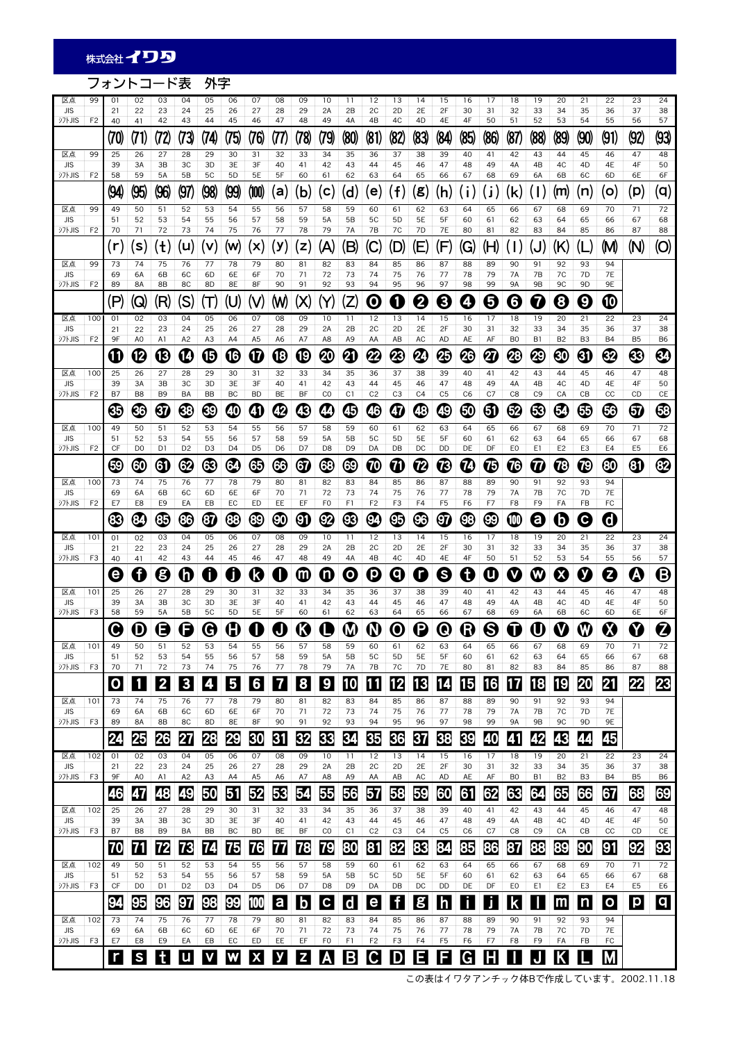#### フォントコード表 外字 区点 | 99 | 01 | 02 | 03 | 04 | 05 | 06 | 07 | 08 | 09 | 10 | 11 | 12 | 13 | 14 | 15 | 16 | 17 | 18 | 19 | 20 | 21 | 22 | 23 | 24 JIS | | 21 | 22 | 23 | 24 | 25 | 26 | 27 | 28 | 29 | 2A | 2B | 2C | 2D | 2E | 2F | 30 | 31 | 32 | 33 | 34 | 35 | 36 | 37 | 38 シフトJIS | F2 | 40 | 41 | 42 | 43 | 44 | 45 | 46 | 47 | 48 | 49 | 4A | 4B | 4C | 4D | 4E | 4F | 50 | 51 | 52 | 53 | 54 | 55 | 56 | 57 (70) | (71) | (72) | (73) | (74) | (75) | (76) | (77) | (78) | (89) | (80) | (81) | (82) | (83) | (84) | (85) | (86) | (87) | (88) | (89) | (90) | (91) | (92) | (93) 区点 | 99 | 25 | 26 | 27 | 28 | 29 | 30 | 31 | 32 | 33 | 34 | 35 | 36 | 37 | 38 | 39 | 40 | 41 | 42 | 43 | 44 | 45 | 46 | 47 | 48 JIS | | 39 | 3A | 3B | 3C | 3D | 3E | 3F | 40 | 41 | 42 | 43 | 44 | 45 | 46 | 47 | 48 | 49 | 4A | 4B | 4C | 4D | 4E | 4F | 50 シフトJIS | F2 | 58 | 59 | 5A | 5B | 5C | 5D | 5E | 5F | 60 | 61 | 62 | 63 | 64 | 65 | 66 | 67 | 68 | 69 | 6A | 6B | 6C | 6D | 6E | 6F  $\ket{\text{Q4}}\ket{\text{Q5}}\ket{\text{Q7}}\ket{\text{Q8}}\ket{\text{Q9}}\ket{\text{000}}\ket{\text{(a)}}\ket{\text{(b)}}\ket{\text{(c)}}\ket{\text{(d)}}\ket{\text{(e)}}\ket{\text{(f)}}\ket{\text{(B)}}\ket{\text{(i)}}\ket{\text{(i)}}\ket{\text{(k)}}\ket{\text{(l)}}\ket{\text{(n)}}\ket{\text{(o)}}\ket{\text{(p)}}\ket{\text{(q)}}$ 区点 | 99 | 49 | 50 | 51 | 52 | 53 | 54 | 55 | 56 | 57 | 58 | 59 | 60 | 61 | 62 | 63 | 64 | 65 | 66 | 67 | 68 | 69 | 70 | 71 | 72 JIS | | 51 | 52 | 53 | 54 | 55 | 56 | 57 | 58 | 59 | 5A | 5B | 5C | 5D | 5E | 5F | 60 | 61 | 62 | 63 | 64 | 65 | 66 | 67 | 68 シフトJIS | F2 | 70 | 71 | 72 | 73 | 74 | 75 | 76 | 77 | 78 | 79 | 7A | 7B | 7C | 7D | 7E | 80 | 81 | 82 | 83 | 84 | 85 | 86 | 87 | 88  $\mathcal{L}(\mathbf{r})|\mathbf{s}\rangle|\mathbf{u}\rangle|\mathbf{v}\rangle|\mathbf{w}\rangle|\mathbf{w}\rangle|\mathbf{x}\rangle|\mathbf{y}\rangle|\mathbf{z}\rangle|\mathbf{A}\rangle|\mathbf{B}\rangle|\mathbf{C}\rangle|\mathbf{D}\rangle|\mathbf{E}\rangle|\mathbf{F}\rangle|\mathbf{G}\rangle|\mathbf{H}\rangle|\mathbf{d}\rangle|\mathbf{d}\rangle|\mathbf{b}\rangle|\mathbf{A}\rangle|\mathbf{b}\rangle|\mathbf{A}\rangle$ 区点 | 99 | 73 | 74 | 75 | 76 | 77 | 78 | 79 | 80 | 81 | 82 | 83 | 84 | 85 | 86 | 87 | 88 | 89 | 90 | 91 | 92 | 93 | 94 JIS | | 69 | 6A | 6B | 6C | 6D | 6E | 6F | 70 | 71 | 72 | 73 | 74 | 75 | 76 | 77 | 78 | 79 | 7A | 7B | 7C | 7D | 7E シフトJIS | F2 | 89 | 8A | 8B | 8C | 8D | 8E | 8F | 90 | 91 | 92 | 93 | 94 | 95 | 96 | 97 | 98 | 99 | 9A | 9B | 9C | 9D | 9E  $\ket{\text{P}}\ket{\text{Q}}\ket{\text{R}}\ket{\text{S}}\ket{\text{T}}\ket{\text{U}}\ket{\text{V}}\ket{\text{W}}\ket{\text{Y}}\ket{\text{Z}}\ket{\text{O}}\ket{\text{O}}\ket{\text{Q}}\ket{\text{S}}\ket{\text{O}}\ket{\text{O}}\ket{\text{O}}\ket{\text{O}}\ket{\text{O}}$ 区点 |100| 01 | 02 | 03 | 04 | 05 | 06 | 07 | 08 | 09 | 10 | 11 | 12 | 13 | 14 | 15 | 16 | 17 | 18 | 19 | 20 | 21 | 22 | 23 | 24 JIS | | 21 | 22 | 23 | 24 | 25 | 26 | 27 | 28 | 29 | 2A | 2B | 2C | 2D | 2E | 2F | 30 | 31 | 32 | 33 | 34 | 35 | 36 | 37 | 38 シフトJIS | F2 | 9F | A0 | A1 | A2 | A3 | A4 | A5 | A6 | A7 | A8 | A9 | AA | AB | AC | AD | AE | AF | B0 | B1 | B2 | B3 | B4 | B5 | B6  $\mathbf{C} \Vert \mathbf{C} \Vert \mathbf{C} \Vert \mathbf{C} \Vert \mathbf{C} \Vert \mathbf{C} \Vert \mathbf{C} \Vert \mathbf{C} \Vert \mathbf{C} \Vert \mathbf{C} \Vert \mathbf{C} \Vert \mathbf{C} \Vert \mathbf{C} \Vert \mathbf{C} \Vert \mathbf{C} \Vert \mathbf{C} \Vert \mathbf{C} \Vert \mathbf{C} \Vert \mathbf{C} \Vert \mathbf{C} \Vert \mathbf{C} \Vert \mathbf{C} \Vert \mathbf{C} \Vert \mathbf{C} \Vert \mathbf{C} \Vert \mathbf{C} \Vert \mathbf{C} \Vert \mathbf{$ 区点 |100| 25 | 26 | 27 | 28 | 29 | 30 | 31 | 32 | 33 | 34 | 35 | 36 | 37 | 38 | 39 | 40 | 41 | 42 | 43 | 44 | 45 | 46 | 47 | 48 JIS | | 39 | 3A | 3B | 3C | 3D | 3E | 3F | 40 | 41 | 42 | 43 | 44 | 45 | 46 | 47 | 48 | 49 | 4A | 4B | 4C | 4D | 4E | 4F | 50 シフトJIS | F2 | B7 | B8 | B9 | BA | BB | BC | BD | BE | BF | C0 | C1 | C2 | C3 | C4 | C5 | C6 | C7 | C8 | C9 | CA | CB | CC | CD | CE  $\textcircled{\tiny{3}}$  (  $\textcircled{\tiny{4}}$  )  $\textcircled{\tiny{4}}$  (  $\textcircled{\tiny{5}}$  )  $\textcircled{\tiny{6}}$  (  $\textcircled{\tiny{6}}$  )  $\textcircled{\tiny{6}}$  (  $\textcircled{\tiny{6}}$  )  $\textcircled{\tiny{6}}$  (  $\textcircled{\tiny{6}}$  )  $\textcircled{\tiny{6}}$ 区点 |100| 49 | 50 | 51 | 52 | 53 | 54 | 55 | 56 | 57 | 58 | 59 | 60 | 61 | 62 | 63 | 64 | 65 | 66 | 67 | 68 | 69 | 70 | 71 | 72 JIS | | 51 | 52 | 53 | 54 | 55 | 56 | 57 | 58 | 59 | 5A | 5B | 5C | 5D | 5E | 5F | 60 | 61 | 62 | 63 | 64 | 65 | 66 | 67 | 68 シフトJIS | F2 | CF | D0 | D1 | D2 | D3 | D4 | D5 | D6 | D7 | D8 | D9 | DA | DB | DC | DD | DE | DF | E0 | E1 | E2 | E3 | E4 | E5 | E6  $\textcircled{\tiny{13}}$  (  $\textcircled{\tiny{2}}$  (  $\textcircled{\tiny{3}}$  (  $\textcircled{\tiny{3}}$  (  $\textcircled{\tiny{3}}$  (  $\textcircled{\tiny{3}}$  (  $\textcircled{\tiny{4}}$  (  $\textcircled{\tiny{4}}$  (  $\textcircled{\tiny{5}}$  (  $\textcircled{\tiny{5}}$  (  $\textcircled{\tiny{4}}$  (  $\textcircled{\tiny{5}}$  (  $\textcircled{\tiny{5}}$  (  $\textcircled{\tiny{5}}$  (  $\textcircled{\tiny{5}}$  (  $\textcircled{\tiny{5}}$ 区点 |100| 73 | 74 | 75 | 76 | 77 | 78 | 79 | 80 | 81 | 82 | 83 | 84 | 85 | 86 | 87 | 88 | 89 | 90 | 91 | 92 | 93 | 94 JIS | | 69 | 6A | 6B | 6C | 6D | 6E | 6F | 70 | 71 | 72 | 73 | 74 | 75 | 76 | 77 | 78 | 79 | 7A | 7B | 7C | 7D | 7E シフトJIS | F2 | E7 | E8 | E9 | EA | EB | EC | ED | EE | EF | F0 | F1 | F2 | F3 | F4 | F5 | F6 | F7 | F8 | F9 | FA | FB | FC  $\textcircled{\tiny{3}}$  (3)  $\textcircled{\tiny{3}}$  (3)  $\textcircled{\tiny{4}}$  (3)  $\textcircled{\tiny{4}}$  (3)  $\textcircled{\tiny{4}}$  (3)  $\textcircled{\tiny{5}}$  (3)  $\textcircled{\tiny{6}}$  (6) (6) (6) (6) (6) 区点 | 101 | 01 | 02 | 03 | 04 | 05 | 06 | 07 | 08 | 09 | 10 | 11 | 12 | 13 | 14 | 15 | 16 | 17 | 18 | 19 | 20 | 21 | 22 | 23 | 24 JIS | | 21 | 22 | 23 | 24 | 25 | 26 | 27 | 28 | 29 | 2A | 2B | 2C | 2D | 2E | 2F | 30 | 31 | 32 | 33 | 34 | 35 | 36 | 37 | 38 シフトJIS | F3 | 40 | 41 | 42 | 43 | 44 | 45 | 46 | 47 | 48 | 49 | 4A | 4B | 4C | 4D | 4E | 4F | 50 | 51 | 52 | 53 | 54 | 55 | 56 | 57  $\mathbf{G}[\mathbf{G}]\mathbf{G}[\mathbf{O}]\mathbf{O}[\mathbf{O}]\mathbf{O}[\mathbf{O}]\mathbf{O}[\mathbf{O}]\mathbf{O}[\mathbf{O}]\mathbf{O}[\mathbf{O}]\mathbf{O}[\mathbf{O}]\mathbf{O}[\mathbf{O}]\mathbf{O}[\mathbf{O}]\mathbf{O}[\mathbf{O}]\mathbf{O}[\mathbf{O}]\mathbf{O}[\mathbf{O}]\mathbf{O}[\mathbf{O}]\mathbf{O}[\mathbf{O}]\mathbf{O}[\mathbf{O}]\mathbf{O}[\mathbf{O}]\mathbf{O}[\mathbf{O}]\mathbf{$ 区点 |101 | 25 | 26 | 27 | 28 | 29 | 30 | 31 | 32 | 33 | 34 | 35 | 36 | 37 | 38 | 39 | 40 | 41 | 42 | 43 | 44 | 45 | 46 | 47 | 48 JIS | | 39 | 3A | 3B | 3C | 3D | 3E | 3F | 40 | 41 | 42 | 43 | 44 | 45 | 46 | 47 | 48 | 49 | 4A | 4B | 4C | 4D | 4E | 4F | 50 シフトJIS | F3 | 58 | 59 | 5A | 5B | 5C | 5D | 5E | 5F | 60 | 61 | 62 | 63 | 64 | 65 | 66 | 67 | 68 | 69 | 6A | 6B | 6C | 6D | 6E | 6F  $\mathcal{O}[\mathcal{O}]\mathcal{O}[\mathcal{O}]\mathcal{O}[\mathcal{O}]$   $\mathcal{O}[\mathcal{O}]$   $\mathcal{O}[\mathcal{O}]$   $\mathcal{O}[\mathcal{O}]$   $\mathcal{O}[\mathcal{O}]$   $\mathcal{O}[\mathcal{O}]$   $\mathcal{O}[\mathcal{O}]$ 区点 |101| 49 | 50 | 51 | 52 | 53 | 54 | 55 | 56 | 57 | 58 | 59 | 60 | 61 | 62 | 63 | 64 | 65 | 66 | 67 | 68 | 69 | 70 | 71 | 72 JIS | | 51 | 52 | 53 | 54 | 55 | 56 | 57 | 58 | 59 | 5A | 5B | 5C | 5D | 5E | 5F | 60 | 61 | 62 | 63 | 64 | 65 | 66 | 67 | 68 シフトJIS | F3 | 70 | 71 | 72 | 73 | 74 | 75 | 76 | 77 | 78 | 79 | 7A | 7B | 7C | 7D | 7E | 80 | 81 | 82 | 83 | 84 | 85 | 86 | 87 | 88 O 1 2 3 4 5 6 7 8 9 10 11 12 13 14 15 6 17 18 19 20 21 22 23 区点 |101 | 73 | 74 | 75 | 76 | 77 | 78 | 79 | 80 | 81 | 82 | 83 | 84 | 85 | 86 | 87 | 88 | 89 | 90 | 91 | 92 | 93 | 94 JIS | | 69 | 6A | 6B | 6C | 6D | 6E | 6F | 70 | 71 | 72 | 73 | 74 | 75 | 76 | 77 | 78 | 79 | 7A | 7B | 7C | 7D | 7E シフトJIS | F3 | 89 | 8A | 8B | 8C | 8D | 8E | 8F | 90 | 91 | 92 | 93 | 94 | 95 | 96 | 97 | 98 | 99 | 9A | 9B | 9C | 9D | 9E 24 25 26 27 28 29 30 31 32 33 34 35 36 37 38 39 40 41 42 43 44 45 区点 | 102 | 01 | 02 | 03 | 04 | 05 | 06 | 07 | 08 | 09 | 10 | 11 | 12 | 13 | 14 | 15 | 16 | 17 | 18 | 19 | 20 | 21 | 22 | 23 | 24 JIS | | 21 | 22 | 23 | 24 | 25 | 26 | 27 | 28 | 29 | 2A | 2B | 2C | 2D | 2E | 2F | 30 | 31 | 32 | 33 | 34 | 35 | 36 | 37 | 38 シフトJIS | F3 | 9F | A0 | A1 | A2 | A3 | A4 | A5 | A6 | A7 | A8 | A9 | AA | AB | AC | AD | AE | AF | B0 | B1 | B2 | B3 | B4 | B5 | B6 46 47 48 49 50 51 52 53 54 55 56 57 58 59 60 61 62 63 64 65 66 67 68 69 区点 | 102 | 25 | 26 | 27 | 28 | 29 | 30 | 31 | 32 | 33 | 34 | 35 | 36 | 37 | 38 | 39 | 40 | 41 | 42 | 43 | 44 | 45 | 46 | 47 | 48 JIS | | 39 | 3A | 3B | 3C | 3D | 3E | 3F | 40 | 41 | 42 | 43 | 44 | 45 | 46 | 47 | 48 | 49 | 4A | 4B | 4C | 4D | 4E | 4F | 50 シフトJIS | F3 | B7 | B8 | B9 | BA | BB | BC | BD | BE | BF | C0 | C1 | C2 | C3 | C4 | C5 | C6 | C7 | C8 | C9 | CA | CB | CC | CD | CE 70 | 71 | 72 | 73 | 74 | 75 | 76 | 77 | 78 | 79 | 80 | 81 | 82 | 83 | 84 | 85 | 86 | 87 | 88 | 89 | 90 | 91 | 92 | 93 区点 |102| 49 | 50 | 51 | 52 | 53 | 54 | 55 | 56 | 57 | 58 | 59 | 60 | 61 | 62 | 63 | 64 | 65 | 66 | 67 | 68 | 69 | 70 | 71 | 72 JIS | | 51 | 52 | 53 | 54 | 55 | 56 | 57 | 58 | 59 | 5A | 5B | 5C | 5D | 5E | 5F | 60 | 61 | 62 | 63 | 64 | 65 | 66 | 67 | 68 シフトJIS | F3 | CF | D0 | D1 | D2 | D3 | D4 | D5 | D6 | D7 | D8 | D9 | DA | DB | DC | DD | DE | DF | E0 | E1 | E2 | E3 | E4 | E5 | E6 **94 95 96 97 98 99 100 a b c d e f 8 h i J k m n 0 p q** 区点 |102 | 73 | 74 | 75 | 76 | 77 | 78 | 79 | 80 | 81 | 82 | 83 | 84 | 85 | 86 | 87 | 88 | 89 | 90 | 91 | 92 | 93 | 94 JIS | | 69 | 6A | 6B | 6C | 6D | 6E | 6F | 70 | 71 | 72 | 73 | 74 | 75 | 76 | 77 | 78 | 79 | 7A | 7B | 7C | 7D | 7E シフトJIS | F3 | E7 | E8 | E9 | EA | EB | EC | ED | EE | EF | F0 | F1 | F2 | F3 | F4 | F5 | F6 | F7 | F8 | F9 | FA | FB | FC **TSHUVWXYZABCDEEGHIOKLM**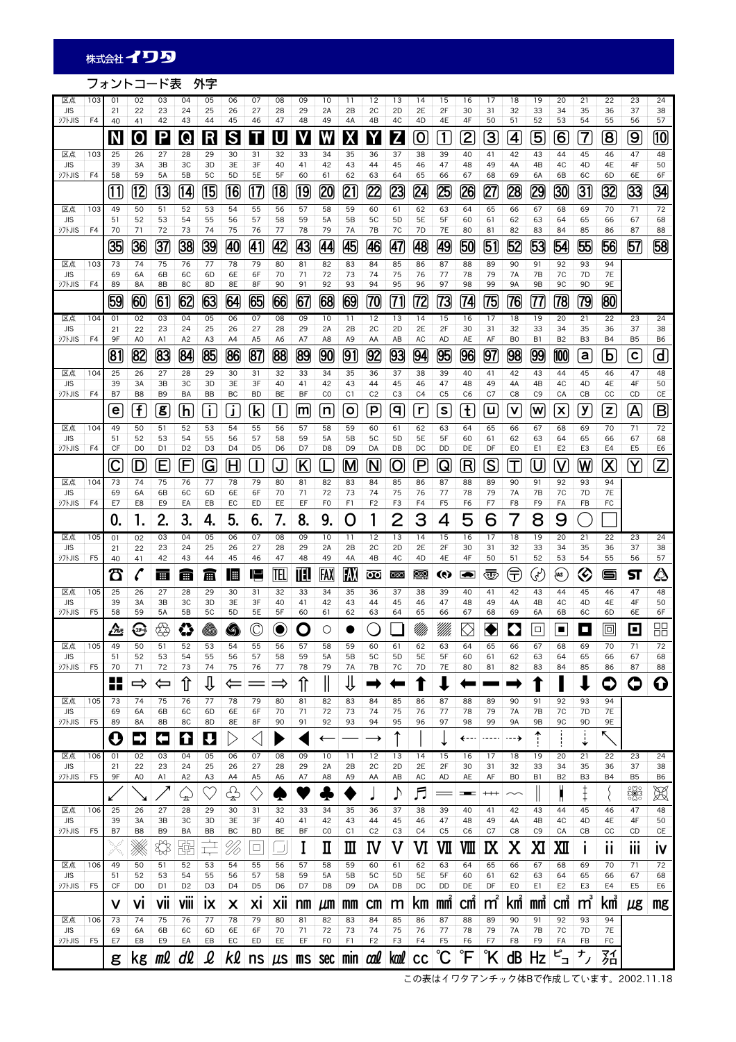## フォントコード表 外字

| 区点<br><b>JIS</b><br>シフトJIS  | 103<br>F <sub>4</sub> | 01<br>21<br>40          | 02<br>22<br>41        | 03<br>23<br>42        | 04<br>24<br>43                             | 05<br>25<br>44         | 06<br>26<br>45       | 07<br>27<br>46          | 08<br>28<br>47        | 09<br>29<br>48            | 10<br>2A<br>49       | 11<br>2B<br>4A       | 12<br>2C<br>4B            | 13<br>2D<br>4C       | 14<br>2E<br>4D          | 15<br>2F<br>4E       | 16<br>30<br>4F             | 17<br>31<br>50                                                                                                                                                                                                                       | 18<br>32<br>51       | 19<br>33<br>52          | 20<br>34<br>53                  | 21<br>35<br>54           | 22<br>36<br>55          | 23<br>37<br>56          | 24<br>38<br>57            |
|-----------------------------|-----------------------|-------------------------|-----------------------|-----------------------|--------------------------------------------|------------------------|----------------------|-------------------------|-----------------------|---------------------------|----------------------|----------------------|---------------------------|----------------------|-------------------------|----------------------|----------------------------|--------------------------------------------------------------------------------------------------------------------------------------------------------------------------------------------------------------------------------------|----------------------|-------------------------|---------------------------------|--------------------------|-------------------------|-------------------------|---------------------------|
|                             |                       | N                       | $\mathbf 0$           | P                     | Q                                          | R                      | $\mathsf{S}% _{T}$   | Τ                       | U                     | V                         | W                    | X                    | Y                         | Z                    | $\overline{\mathbf{O}}$ | $\overline{1}$       | 2                          | $\overline{3}$                                                                                                                                                                                                                       | 4                    | $\overline{\mathbf{5}}$ | $\overline{6}$                  | 7                        | $\overline{\mathbf{8}}$ | $\overline{9}$          | 10                        |
| 区点<br><b>JIS</b>            | 103                   | 25<br>39                | 26<br>3A              | 27<br>3B              | 28<br>ЗC                                   | 29<br>3D               | 30<br>3E             | 31<br>3F                | 32<br>40              | 33<br>41                  | 34<br>42             | 35<br>43             | 36<br>44                  | 37<br>45             | 38<br>46                | 39<br>47             | 40<br>48                   | 41<br>49                                                                                                                                                                                                                             | 42<br>4A             | 43<br>4B                | 44<br>4C                        | 45<br>4D                 | 46<br>4E                | 47<br>4F                | 48<br>50                  |
| <b>シフトJIS</b>               | F4                    | 58                      | 59                    | 5A                    | 5B                                         | 5C                     | 5D                   | 5E                      | 5F                    | 60                        | 61                   | 62                   | 63                        | 64                   | 65                      | 66                   | 67                         | 68                                                                                                                                                                                                                                   | 69                   | 6A                      | 6B                              | 6C                       | 6D                      | 6E                      | 6F                        |
|                             |                       | (11)                    | 12                    | 13                    | [14]                                       | [15]                   | 16                   | 17                      | 18                    | [19]                      | 20                   | [21]                 | 22                        | 23                   | [24]                    | 25                   | 26                         | 27                                                                                                                                                                                                                                   | 28                   | 29                      | 30                              | $\overline{31}$          | 32                      | 33                      | 34                        |
| 区点<br><b>JIS</b>            | 103                   | 49<br>51                | 50<br>52              | 51<br>53              | 52<br>54                                   | 53<br>55               | 54<br>56             | 55<br>57                | 56<br>58              | 57<br>59                  | 58<br><b>5A</b>      | 59<br>5B             | 60<br>5C                  | 61<br>5 <sub>D</sub> | 62<br>5E                | 63<br>5F             | 64<br>60                   | 65<br>61                                                                                                                                                                                                                             | 66<br>62             | 67<br>63                | 68<br>64                        | 69<br>65                 | 70<br>66                | 71<br>67                | 72<br>68                  |
| <b>シフトJIS</b>               | F4                    | 70<br>35                | 71<br>36              | 72<br>37              | 73<br>38                                   | 74<br>39               | 75<br>40             | 76<br>$\overline{41}$   | 77<br>42              | 78<br><u>(43</u>          | 79<br>44             | <b>7A</b><br>45      | 7B<br>46                  | 7C<br>47             | 7D<br>48                | 7E<br>(49            | 80<br>50                   | 81<br>51                                                                                                                                                                                                                             | 82<br>52             | 83<br>53                | 84<br>54                        | 85<br>55                 | 86<br>56                | 87<br><u>57</u>         | 88<br>58                  |
| 区点                          | 103                   | 73                      | 74                    | 75                    | 76                                         | 77                     | 78                   | 79                      | 80                    | 81                        | 82                   | 83                   | 84                        | 85                   | 86                      | 87                   | 88                         | 89                                                                                                                                                                                                                                   | 90                   | 91                      | 92                              | 93                       | 94                      |                         |                           |
| <b>JIS</b><br><b>シフトJIS</b> | F4                    | 69<br>89                | 6A<br><b>8A</b>       | 6B<br>8B              | 6C<br>8C                                   | 6D<br>8D               | 6E<br>8E             | 6F<br>8F                | 70<br>90              | 71<br>91                  | 72<br>92             | 73<br>93             | 74<br>94                  | 75<br>95             | 76<br>96                | 77<br>97             | 78<br>98                   | 79<br>99                                                                                                                                                                                                                             | 7A<br><b>9A</b>      | 7B<br>9B                | 7C<br>9C                        | 7D<br>9D                 | <b>7E</b><br>9E         |                         |                           |
|                             |                       | 59                      | 60                    | 61                    | 62                                         | 63                     | 64                   | 65                      | 66                    | 67                        | 68                   | 69                   | 70                        | 71                   | 72                      | 73                   | [74]                       | 75                                                                                                                                                                                                                                   | 76                   | 77                      | 78                              | 79                       | 80                      |                         |                           |
| 区点<br><b>JIS</b>            | 104                   | 01<br>21                | 02<br>22              | 03<br>23              | 04<br>24                                   | 05<br>25               | 06<br>26             | 07<br>27                | 08<br>28              | 09<br>29                  | 10<br>2A             | 11<br>2B             | 12<br>2C                  | 13<br>2D             | 14<br>2E                | 15<br>2F             | 16<br>30                   | 17<br>31                                                                                                                                                                                                                             | 18<br>32             | 19<br>33                | 20<br>34                        | 21<br>35                 | 22<br>36                | 23<br>37                | 24<br>38                  |
| <b>シフトJIS</b>               | F <sub>4</sub>        | 9F                      | A <sub>0</sub>        | A1                    | A <sub>2</sub>                             | A <sub>3</sub>         | A4                   | A <sub>5</sub>          | A6                    | A7                        | A8                   | A9                   | AA                        | AB                   | AC                      | <b>AD</b>            | AE                         | AF                                                                                                                                                                                                                                   | B <sub>0</sub>       | B1                      | B <sub>2</sub>                  | B <sub>3</sub>           | <b>B4</b>               | B <sub>5</sub>          | B <sub>6</sub>            |
| 区点                          | 104                   | [81]<br>25              | $\overline{82}$<br>26 | $\overline{83}$<br>27 | [84]<br>28                                 | 85<br>29               | 86<br>30             | 87<br>31                | [88]<br>32            | [89]<br>33                | [90]<br>34           | 91<br>35             | 92<br>36                  | 93<br>37             | 94<br>38                | 95<br>39             | 96<br>40                   | <u>97</u><br>41                                                                                                                                                                                                                      | [98]<br>42           | 99<br>43                | 100<br>44                       | a<br>45                  | $\mathsf b$<br>46       | $\mathbf c$<br>47       | $\mathsf{d}$<br>48        |
| <b>JIS</b><br><b>シフトJIS</b> | F4                    | 39<br><b>B7</b>         | 3A<br>B <sub>8</sub>  | 3B<br>B <sub>9</sub>  | 3C<br>BA                                   | 3D<br><b>BB</b>        | 3E<br>BC             | 3F<br><b>BD</b>         | 40<br><b>BE</b>       | 41<br>BF                  | 42<br>CO             | 43<br>C1             | 44<br>C <sub>2</sub>      | 45<br>C <sub>3</sub> | 46<br>C4                | 47<br>C <sub>5</sub> | 48<br>C <sub>6</sub>       | 49<br>C7                                                                                                                                                                                                                             | 4A<br>C <sub>8</sub> | 4B<br>C <sub>9</sub>    | 4C<br>CA                        | 4D<br>CB                 | 4E<br>cc                | 4F<br>CD                | 50<br>CE                  |
|                             |                       | e                       | $\mathbf{f}$          | 8                     | h                                          | j.                     | J                    | $\overline{\mathbf{k}}$ | $\mathbf{I}$          | m                         | n                    | $\circ$              | $\mathsf{p}$              | q                    | $\mathsf{r}$            | $\sf s$              | t                          | u                                                                                                                                                                                                                                    | V                    | W                       | $\boldsymbol{\mathsf{x}}$       | у                        | $\mathbf{z}$            | $\overline{\mathsf{A}}$ | $\boldsymbol{\mathsf{B}}$ |
| 区点                          | 104                   | 49                      | 50                    | 51                    | 52                                         | 53                     | 54                   | 55                      | 56                    | 57                        | 58                   | 59                   | 60                        | 61                   | 62                      | 63                   | 64                         | 65                                                                                                                                                                                                                                   | 66                   | 67                      | 68                              | 69                       | 70                      | 71                      | 72                        |
| <b>JIS</b><br>シフトJIS        | F4                    | 51<br>CF                | 52<br>D <sub>0</sub>  | 53<br>D1              | 54<br>D <sub>2</sub>                       | 55<br>D <sub>3</sub>   | 56<br>D <sub>4</sub> | 57<br>D <sub>5</sub>    | 58<br>D <sub>6</sub>  | 59<br>D7                  | 5A<br>D <sub>8</sub> | 5B<br>D <sub>9</sub> | 5C<br>DA                  | 5 <sub>D</sub><br>DB | 5E<br>DC                | 5F<br>DD             | 60<br>DE                   | 61<br>DF                                                                                                                                                                                                                             | 62<br>EO             | 63<br>E1                | 64<br>E <sub>2</sub>            | 65<br>E <sub>3</sub>     | 66<br>E4                | 67<br>E <sub>5</sub>    | 68<br>E6                  |
|                             |                       | $\overline{\mathsf{C}}$ | <u>D</u>              | Ε                     | F                                          | (G                     | (H                   | <u>I</u>                | J                     | $\left[\mathsf{K}\right]$ |                      | M                    | (N                        | 0                    | $\overline{\mathsf{P}}$ | $\mathsf Q$          | $\left( \mathsf{R}\right)$ | $\overline{\mathcal{S}}$                                                                                                                                                                                                             | T                    | <u>็บ</u>               | <u>V</u>                        | W                        | $\overline{\mathsf{X}}$ | $\overline{\mathsf{Y}}$ | $\mathsf Z$               |
| 区点<br><b>JIS</b>            | 104                   | 73<br>69                | 74<br>6A              | 75<br>6B              | 76<br>6C                                   | 77<br>6D               | 78<br>6E             | 79<br>6F                | 80<br>70              | 81<br>71                  | 82<br>72             | 83<br>73             | 84<br>74                  | 85<br>75             | 86<br>76                | 87<br>77             | 88<br>78                   | 89<br>79                                                                                                                                                                                                                             | 90<br>7A             | 91<br>7B                | 92<br>7C                        | 93<br>7D                 | 94<br><b>7E</b>         |                         |                           |
| <b>シフトJIS</b>               | F4                    | E7                      | E8                    | E9                    | EA                                         | EB                     | EC                   | ED                      | EE                    | EF                        | F <sub>0</sub>       | F1                   | F <sub>2</sub>            | F3                   | F4                      | F <sub>5</sub>       | F6                         | F7                                                                                                                                                                                                                                   | F8                   | F9                      | FA                              | FB                       | FC                      |                         |                           |
|                             |                       | 0                       | 1.                    | 2.                    | 3.                                         | 4.                     | 5.                   | 6.                      | 7.                    | 8.                        | 9.                   | O                    |                           | 2                    | З                       | 4                    | 5                          | 6                                                                                                                                                                                                                                    |                      | 8                       | 9                               |                          |                         |                         |                           |
| 区点<br><b>JIS</b>            | 105                   | 01<br>21                | 02<br>22              | 03<br>23              | 04<br>24                                   | 05<br>25               | 06<br>26             | 07<br>27                | 08<br>28              | 09<br>29                  | 10<br>2A             | 11<br>2B             | 12<br>2C                  | 13<br>2D             | 14<br>2E                | 15<br>2F             | 16<br>30                   | 17<br>31                                                                                                                                                                                                                             | 18<br>32             | 19<br>33                | 20<br>34                        | 21<br>35                 | 22<br>36                | 23<br>37                | 24<br>38                  |
| シフトJIS                      | F <sub>5</sub>        | 40<br>ීරී               | 41<br>l               | 42<br>Ħ               | 43<br>曲                                    | 44<br>圃                | 45<br>I III          | 46<br>I,                | 47<br>TEL             | 48<br>Ш                   | 49<br>FAX            | 4A<br>FAX            | 4B<br>$\overline{\rm oo}$ | 4C<br>୪ାରସ           | 4D<br>O(20)             | 4E<br>Q)             | 4F<br>Ð                    | 50<br>ঊ                                                                                                                                                                                                                              | 51<br>€              | 52<br>F                 | 53<br>į́АS                      | 54<br>$\heartsuit$       | 55<br>ر کا              | 56<br>ञ                 | 57<br>                    |
| 区点                          | 105                   | 25                      | 26                    | 27                    | 28                                         | 29                     | 30                   | 31                      | 32                    | 33                        | 34                   | 35                   | 36                        | 37                   | 38                      | 39                   | 40                         | 41                                                                                                                                                                                                                                   | 42                   | 43                      | 44                              | 45                       | 46                      | 47                      | 48                        |
| <b>JIS</b><br>シフトJIS        | F <sub>5</sub>        | 39<br>58                | 3A<br>59              | 3B<br>5A              | 3C<br>5B                                   | 3D<br>5C               | 3E<br>5 <sub>D</sub> | 3F<br>5E                | 40<br>5F              | 41<br>60                  | 42<br>61             | 43<br>62             | 44<br>63                  | 45<br>64             | 46<br>65                | 47<br>66             | 48<br>67                   | 49<br>68                                                                                                                                                                                                                             | 4A<br>69             | 4B<br>6A                | 4C<br>6B                        | 4D<br>6C                 | 4E<br>6D                | 4F<br>6E                | 50<br>6F                  |
|                             |                       | ⚠                       | ⊕                     | ₩                     | ♦                                          | G)                     | g                    | $\mathbb C$             | ●                     | $\bullet$                 | О                    |                      |                           |                      | MW                      |                      |                            |                                                                                                                                                                                                                                      |                      | $\Box$                  | п                               | $\overline{\phantom{0}}$ | 回                       | $\blacksquare$          | 昍                         |
| 区点<br><b>JIS</b>            | 105                   | 49<br>51                | 50<br>52              | 51<br>53              | 52<br>54                                   | 53<br>55               | 54<br>56             | 55<br>57                | 56<br>58              | 57<br>59                  | 58<br>5A             | 59<br>5B             | 60<br>5C                  | 61<br>5 <sub>D</sub> | 62<br>5E                | 63<br>5F             | 64<br>60                   | 65<br>61                                                                                                                                                                                                                             | 66<br>62             | 67<br>63                | 68<br>64                        | 69<br>65                 | 70<br>66                | 71<br>67                | 72<br>68                  |
| シフトJIS                      | F <sub>5</sub>        | 70                      | 71                    | 72                    | 73                                         | 74                     | 75                   | 76                      | 77                    | 78                        | 79                   | 7A                   | 7B                        | 7C                   | 7D                      | 7E                   | 80                         | 81                                                                                                                                                                                                                                   | 82                   | 83                      | 84                              | 85                       | 86                      | 87                      | 88                        |
|                             |                       | ∎∎<br>M M               | ⇨                     | ⇐                     | ⇧                                          | ⊕                      | ⇐                    |                         | $\Rightarrow$         | ⇑                         |                      | ⇑                    | ➡                         |                      | ↑                       |                      | ▅                          | <u> and the second second second second second second second second second second second second second second second second second second second second second second second second second second second second second second se</u> |                      | 1                       |                                 |                          | €                       | O                       | O                         |
| 区点<br><b>JIS</b>            | 105                   | 73<br>69                | 74<br>6A              | 75<br>6B              | 76<br>6C                                   | 77<br>6D               | 78<br>6E             | 79<br>6F                | 80<br>70              | 81<br>71                  | 82<br>72             | 83<br>73             | 84<br>74                  | 85<br>75             | 86<br>76                | 87<br>77             | 88<br>78                   | 89<br>79                                                                                                                                                                                                                             | 90<br>7A             | 91<br>7B                | 92<br>7C                        | 93<br>7D                 | 94<br><b>7E</b>         |                         |                           |
| 沙hJIS                       | F5                    | 89<br>Ō                 | 8A<br>$\Rightarrow$   | 8B<br>⇚               | 8C<br><b>1</b>                             | 8D<br>U                | 8E                   | 8F<br>$\lt$             | 90                    | 91                        | 92<br>←              | 93                   | 94<br>$\rightarrow$       | 95                   | 96                      | 97                   | 98<br>←--                  | 99<br>.                                                                                                                                                                                                                              | 9A<br>…→             | 9B<br>⇡                 | 9C                              | 9D                       | 9E                      |                         |                           |
| 区点                          | 106                   | 01                      | 02                    | 03                    | 04                                         | 05                     | 06                   | 07                      | 08                    | 09                        | 10                   | 11                   | 12                        | 13                   | 14                      | 15                   | 16                         | 17                                                                                                                                                                                                                                   | 18                   | 19                      | 20                              | ₩<br>21                  | 22                      | 23                      | 24                        |
| <b>JIS</b><br><b>シフトJIS</b> | F <sub>5</sub>        | 21<br>9F                | 22<br>A0              | 23<br>A1              | 24<br>A <sub>2</sub>                       | 25<br>A3               | 26<br>A4             | 27<br>A <sub>5</sub>    | 28<br>A6              | 29<br>A7                  | 2A<br>A8             | 2B<br>A9             | 2C<br>AA                  | 2D<br>AB             | 2E<br>AC                | 2F<br>AD             | 30<br>AE                   | 31<br>AF                                                                                                                                                                                                                             | 32<br>B <sub>0</sub> | 33<br>B1                | 34<br>B <sub>2</sub>            | 35<br>B <sub>3</sub>     | 36<br>B4                | 37<br>B <sub>5</sub>    | 38<br>B6                  |
|                             |                       | ↙                       |                       |                       | نہی                                        |                        | ♧                    | ◇                       | Ţ                     |                           |                      |                      |                           | ♪                    | 戶                       |                      | ≖                          | $^{++}$                                                                                                                                                                                                                              | ∼                    |                         | H                               | ŧ                        |                         | <b>exe</b>              | $\boxtimes$               |
| 区点<br><b>JIS</b>            | 106                   | 25<br>39                | 26<br>3A              | 27<br>3B              | 28<br>ЗC                                   | 29<br>3D               | 30<br>3E             | 31<br>3F                | 32<br>40              | 33<br>41                  | 34<br>42             | 35<br>43             | 36<br>44                  | 37<br>45             | 38<br>46                | 39<br>47             | 40<br>48                   | 41<br>49                                                                                                                                                                                                                             | 42<br>4A             | 43<br>4B                | 44<br>4C                        | 45<br>4D                 | 46<br>4E                | 47<br>4F                | 48<br>50                  |
| シフトJIS                      | F <sub>5</sub>        | <b>B7</b>               | B8                    | B <sub>9</sub>        | BA                                         | BB                     | BC                   | <b>BD</b>               | BE                    | BF                        | C <sub>0</sub>       | C1                   | C <sub>2</sub>            | C <sub>3</sub>       | C4                      | C <sub>5</sub>       | C <sub>6</sub>             | C7                                                                                                                                                                                                                                   | C8                   | C <sub>9</sub>          | CA                              | CB                       | CC                      | CD                      | CE                        |
|                             |                       |                         | ▒                     | ₩                     | 뚒                                          |                        | Ú0                   | □                       |                       | I                         | П                    | Ш                    | IV                        | V                    | VI                      | VШ                   | Ⅷ                          | IX                                                                                                                                                                                                                                   | Χ                    | Х                       | ΧШ                              |                          | Ш                       | Ш                       | IV                        |
| 区点<br><b>JIS</b>            | 106                   | 49<br>51                | 50<br>52              | 51<br>53              | 52<br>54                                   | 53<br>55               | 54<br>56             | 55<br>57                | 56<br>58              | 57<br>59                  | 58<br><b>5A</b>      | 59<br>5B             | 60<br>5C                  | 61<br>5 <sub>D</sub> | 62<br>5E                | 63<br>5F             | 64<br>60                   | 65<br>61                                                                                                                                                                                                                             | 66<br>62             | 67<br>63                | 68<br>64                        | 69<br>65                 | 70<br>66                | 71<br>67                | 72<br>68                  |
| <b>シフトJIS</b>               | F <sub>5</sub>        | CF<br>v                 | D <sub>0</sub><br>VI  | D1<br>VII             | D <sub>2</sub><br><b>BR</b><br><b>VIII</b> | D <sub>3</sub><br>IX   | D <sub>4</sub><br>X  | D <sub>5</sub><br>XI    | D <sub>6</sub><br>XII | D7<br>nm                  | D <sub>8</sub><br>μт | D <sub>9</sub><br>mm | DA<br><b>CM</b>           | DB<br>m              | DC<br>KM                | DD<br>mm             | DE<br>CM                   | DF<br>m                                                                                                                                                                                                                              | E0<br>KM             | E1<br>3<br>mm           | E <sub>2</sub><br>$\mathsf{cm}$ | E3<br>m                  | E4<br>Km                | E <sub>5</sub><br>μg    | E6<br>mg                  |
| 区点                          | 106                   | 73                      | 74                    | 75                    | 76                                         | 77                     | 78                   | 79                      | 80                    | 81                        | 82                   | 83                   | 84                        | 85                   | 86                      | 87                   | 88                         | 89                                                                                                                                                                                                                                   | 90                   | 91                      | 92                              | 93                       | 94                      |                         |                           |
| <b>JIS</b><br><b>シフトJIS</b> | F <sub>5</sub>        | 69<br>E7                | 6A<br>E8              | 6B<br>E9              | 6C<br>EA                                   | 6D<br>EB               | 6E<br>EC             | 6F<br>ED                | 70<br>EE              | 71<br>EF                  | 72<br>F0             | 73<br>F1             | 74<br>F <sub>2</sub>      | 75<br>F3             | 76<br>F4                | 77<br>F <sub>5</sub> | 78<br>F <sub>6</sub>       | 79<br>F7                                                                                                                                                                                                                             | 7A<br>F8             | 7B<br>F9                | 7C<br>FA                        | 7D<br>FB                 | <b>7E</b><br>FC         |                         |                           |
|                             |                       | g                       | kg                    | ml                    | dl                                         | $\boldsymbol{\varrho}$ | kl                   | ns                      | μs                    | ms                        | <b>Sec</b>           | mın                  | cal                       | kal                  | cc                      |                      | $\overline{F}$             | °Κ                                                                                                                                                                                                                                   | dB                   | Hz                      | ピ<br>⊐                          | ナ<br>J                   | 弨                       |                         |                           |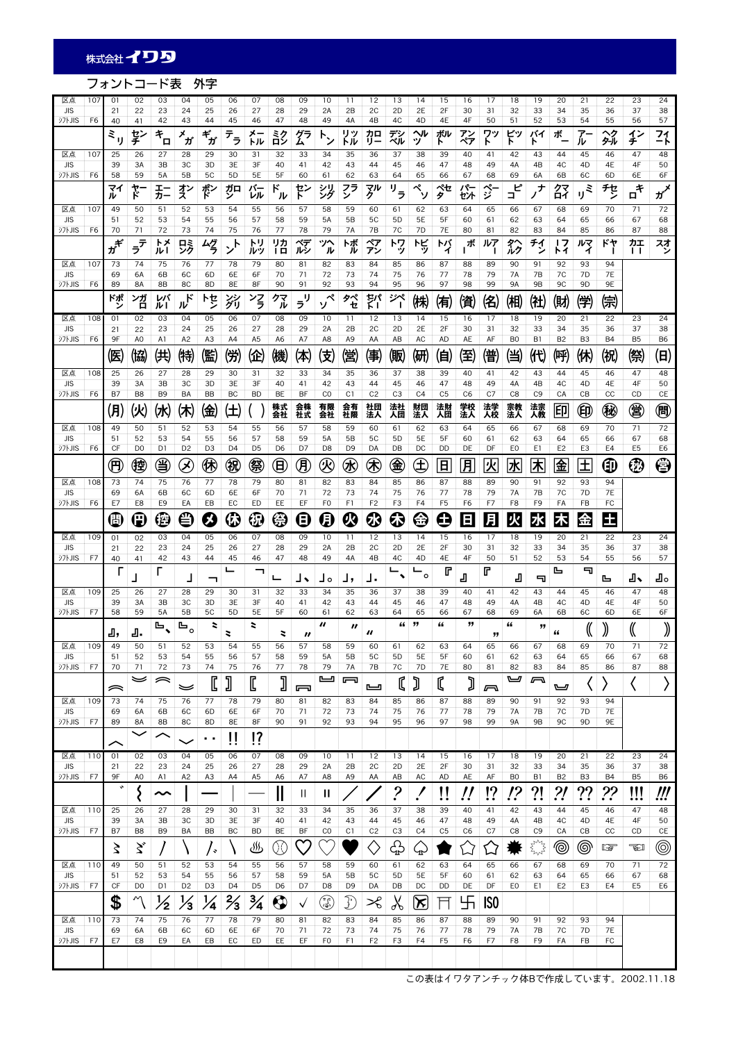## フォントコード表 外字

| 区点<br>107                                     | 01                        | 02                                       | 03                         | 04                                       | 05                       | 06                              | 07                   | 08                   | 09       | 10                     | 11                   | 12                   | 13                       | 14                   | 15                   | 16                   | 17              | 18                   | 19                   | 20                   | 21                   | 22              | 23                      | 24                              |
|-----------------------------------------------|---------------------------|------------------------------------------|----------------------------|------------------------------------------|--------------------------|---------------------------------|----------------------|----------------------|----------|------------------------|----------------------|----------------------|--------------------------|----------------------|----------------------|----------------------|-----------------|----------------------|----------------------|----------------------|----------------------|-----------------|-------------------------|---------------------------------|
| <b>JIS</b>                                    | 21                        | 22                                       | 23                         | 24                                       | 25                       | 26                              | 27                   | 28                   | 29       | 2A                     | 2B                   | 2C                   | 2D                       | 2E                   | 2F                   | 30                   | 31              | 32                   | 33                   | 34                   | 35                   | 36              | 37                      | 38                              |
| <b>シフトJIS</b><br>F6                           | 40<br>$\varepsilon_{ij}$  | 41<br>ぢ                                  | 42<br>$\tilde{\tau}_{\Pi}$ | 43<br>Х<br>ガ                             | 44<br>$\check{\tau_{f}}$ | 45<br>$\bar{\tau}_{\bar{\tau}}$ | 46<br>メ-<br>トル       | 47<br>診              | 48<br>グラ | 49<br>$F^{\lambda}$    | 4A<br>リッ<br>トル       | 4B<br>カロ<br>リー       | 4C<br>ズシ                 | 4D<br>ヘル<br>ッ        | 4E<br>ボル             | 4F<br>アン             | 50<br>ፖን        | 51<br>ビッ             | 52<br>バイ             | 53<br>ボ              | 54<br>7<br>ル         | 55<br>ヘク<br>タル  | 56<br>イン<br>チ           | 57<br>21                        |
| 区点<br>107                                     | 25                        | 26                                       | 27                         | 28                                       | 29                       | 30                              | 31                   | 32                   | 33       | 34                     | 35                   | 36                   | 37                       | 38                   | 39                   | 40                   | 41              | 42                   | r<br>43              | 44                   | 45                   | 46              | 47                      | 48                              |
| <b>JIS</b><br><b>シフトJIS</b><br>F <sub>6</sub> | 39<br>58                  | 3A<br>59                                 | 3B<br>5A                   | 3C<br>5B                                 | 3D<br>5C                 | 3E<br>5D                        | 3F<br>5E             | 40<br>5F             | 41<br>60 | 42<br>61               | 43<br>62             | 44<br>63             | 45<br>64                 | 46<br>65             | 47<br>66             | 48<br>67             | 49<br>68        | 4A<br>69             | 4B<br>6A             | 4C<br>6B             | 4D<br>6C             | 4E<br>6D        | 4F<br>6E                | 50<br>6F                        |
|                                               | マイ                        | ኛ-<br>ነ                                  | I-                         | ず                                        | ポン                       | ガロ                              | バー                   | ۴                    | ド        | 沙                      | フラ                   | 孙                    | $\overline{\mathcal{F}}$ | ペ                    | ぺセ                   | パー                   | $\hat{z}$       | ピ                    | +,                   | 经                    | ξ                    | チセ              | $\mathbf{u}^{\ddagger}$ | $\boldsymbol{\pi}^{\mathbf{X}}$ |
| 区点<br>107                                     | ル<br>49                   | 50                                       | カー<br>51                   | 52                                       | 53                       | 54                              | レル<br>55             | ル<br>56              | 57       | 58                     | ン<br>59              | 60                   | 61                       | ッ<br>62              | タ<br>63              | セント<br>64            | 65              | ⊐<br>66              | 67                   | 68                   | IJ<br>69             | 70              | 71                      | 72                              |
| <b>JIS</b>                                    | 51                        | 52                                       | 53                         | 54                                       | 55                       | 56                              | 57                   | 58                   | 59       | 5A                     | 5B                   | 5C                   | 5 <sub>D</sub>           | 5E                   | 5F                   | 60                   | 61              | 62                   | 63                   | 64                   | 65                   | 66              | 67                      | 68                              |
| <b>シフトJIS</b><br>F6                           | 70                        | 71                                       | 72<br>トメ                   | 73                                       | 74                       | 75                              | 76<br>トリ             | 77<br>リカ             | 78<br>ベデ | 79<br>ツヘ               | 7A<br>トボ             | 7B<br>ペア             | 7C<br>トワ                 | 7D<br>ドビ             | 7E<br>トバ             | 80<br>ボ              | 81<br>ルア        | 82<br>タヘ             | 83<br>チイ             | 84<br>ד ו            | 85<br>ルマ             | 86<br>ドヤ        | 87<br>カエ                | 88                              |
| 区点                                            | $\vec{v}^{\vec{r}}$<br>73 | $\bar{\bar{z}}^{\bar{\bar{\tau}}}$<br>74 | ルー<br>75                   | 哛<br>76                                  | ムグラ<br>77                | ゾ<br>78                         | ルツ<br>79             | 1日<br>80             | ルシ       | ル                      | ル<br>83              | アン                   | ッ                        | ッ                    | 1                    |                      |                 | ルク<br>90             |                      | トイ<br>92             | ィ<br>93              | 94              | $\mathsf{L}$            | 졋                               |
| 107<br><b>JIS</b>                             | 69                        | 6A                                       | 6B                         | 6C                                       | 6D                       | 6E                              | 6F                   | 70                   | 81<br>71 | 82<br>72               | 73                   | 84<br>74             | 85<br>75                 | 86<br>76             | 87<br>77             | 88<br>78             | 89<br>79        | 7A                   | 91<br>7B             | 7C                   | 7D                   | <b>7E</b>       |                         |                                 |
| シフトJIS<br>F6                                  | 89                        | 8A                                       | 8B                         | 8C                                       | 8D                       | 8E                              | 8F                   | 90                   | 91       | 92                     | 93                   | 94                   | 95                       | 96                   | 97                   | 98                   | 99              | 9A                   | <b>9B</b>            | 9C                   | 9D                   | 9E              |                         |                                 |
|                                               | ドポ                        | ンガ<br>ロ                                  | レバ<br>ルー                   | $\boldsymbol{\mathcal{W}}^{\mathcal{K}}$ | トセ                       | ジリ                              | ンろ                   | クマ<br>ル              | IJ<br>ラ  | ペ                      | タペ<br>セ              | 캙                    | ジペ<br>J.                 | ㈱                    | 侑                    | 儨                    | 佲               | (相)                  | 仳                    | (財                   | (学)                  | 倧               |                         |                                 |
| 区点<br>108<br><b>JIS</b>                       | 01<br>21                  | 02<br>22                                 | 03<br>23                   | 04<br>24                                 | 05<br>25                 | 06<br>26                        | 07<br>27             | 08<br>28             | 09<br>29 | 10<br>2A               | 11<br>2B             | 12<br>2C             | 13<br>2D                 | 14<br>2E             | 15<br>2F             | 16<br>30             | 17<br>31        | 18<br>32             | 19<br>33             | 20<br>34             | 21<br>35             | 22<br>36        | 23<br>37                | 24<br>38                        |
| <b>シフトJIS</b><br>F6                           | 9F                        | A <sub>0</sub>                           | A1                         | A <sub>2</sub>                           | A <sub>3</sub>           | A4                              | A <sub>5</sub>       | A6                   | A7       | A8                     | A <sub>9</sub>       | AA                   | AB                       | AC                   | <b>AD</b>            | AE                   | AF              | B <sub>0</sub>       | B1                   | B <sub>2</sub>       | B <sub>3</sub>       | <b>B4</b>       | B <sub>5</sub>          | B6                              |
|                                               | 医                         | (協)                                      | 供                          | ㈱                                        | 儖                        | 傥                               | 企                    | 僟                    | (本)      | 伎                      | 儅                    | 傳                    | 贩                        | (硏                   | 伯                    | 侄                    | 镨               | 当                    | (H)                  | 哷                    | (休)                  | (祝              | 祭                       | (日)                             |
| 区点<br>108                                     | 25                        | 26                                       | 27                         | 28                                       | 29                       | 30                              | 31                   | 32                   | 33       | 34                     | 35                   | 36                   | 37                       | 38                   | 39                   | 40                   | 41              | 42                   | 43                   | 44<br>4C             | 45                   | 46              | 47<br>4F                | 48                              |
| <b>JIS</b><br><b>シフトJIS</b><br>F <sub>6</sub> | 39<br>B7                  | 3A<br>B <sub>8</sub>                     | 3B<br>B <sub>9</sub>       | 3C<br>BA                                 | 3D<br><b>BB</b>          | 3E<br>BC                        | 3F<br><b>BD</b>      | 40<br>BE             | 41<br>BF | 42<br>CO               | 43<br>C1             | 44<br>C <sub>2</sub> | 45<br>C <sub>3</sub>     | 46<br>C <sub>4</sub> | 47<br>C <sub>5</sub> | 48<br>C <sub>6</sub> | 49<br>C7        | 4A<br>C <sub>8</sub> | 4B<br>C <sub>9</sub> | CA                   | 4D<br>CB             | 4E<br>CC        | CD                      | 50<br>CE                        |
|                                               | 阴                         | (火)                                      | (水                         | 休                                        | 金                        | Œ,                              |                      | 株式<br>会社             | 会株<br>社式 | 有限<br>会社               | 会有<br>社限             | 社団<br>法人             | 法社<br>人団                 | 財団<br>法人             | 法財<br>人団             | 学校<br>法人             | 法学<br>人校        | 宗教<br>法人             | 法宗                   | 印                    | ∈                    | 秘               | 覍                       | 倜                               |
| 区点<br>108                                     | 49                        | 50                                       | 51                         | 52                                       | 53                       | 54                              | 55                   | 56                   | 57       | 58                     | 59                   | 60                   | 61                       | 62                   | 63                   | 64                   | 65              | 66                   | 67                   | 68                   | 69                   | 70              | 71                      | 72                              |
| <b>JIS</b><br>シフトJIS<br>F <sub>6</sub>        | 51<br>CF                  | 52<br>D <sub>0</sub>                     | 53<br>D <sub>1</sub>       | 54<br>D <sub>2</sub>                     | 55<br>D <sub>3</sub>     | 56<br>D <sub>4</sub>            | 57<br>D <sub>5</sub> | 58<br>D <sub>6</sub> | 59<br>D7 | 5A<br>D <sub>8</sub>   | 5B<br>D <sub>9</sub> | 5C<br>DA             | 5 <sub>D</sub><br>DB     | 5E<br>DC             | 5F<br>DD             | 60<br>DE             | 61<br>DF        | 62<br>E0             | 63<br>E1             | 64<br>E <sub>2</sub> | 65<br>E <sub>3</sub> | 66<br>E4        | 67<br>E <sub>5</sub>    | 68<br>E6                        |
|                                               | $\bigoplus$               | 倥                                        | ఆ                          | $\bigotimes$                             | ❀                        | 倪                               | 签                    | 冝                    | 困        | $\mathcal Q$           | ⊛                    | ⊛                    | 亀                        | E                    | Β                    | 月                    | 伙               | 冰                    | <u> 木</u>            | 金                    | 土                    | ⊕               | ⊕                       | ⊜                               |
| 区点<br>108                                     | 73                        | 74                                       | 75                         | 76                                       | 77                       | 78                              | 79                   | 80                   | 81       | 82                     | 83                   | 84                   | 85                       | 86                   | 87                   | 88                   | 89              | 90                   | 91                   | 92                   | 93                   | 94              |                         |                                 |
| <b>JIS</b><br><b>シフトJIS</b><br>F6             | 69<br>E7                  | 6A<br>E8                                 | 6B<br>E9                   | 6C<br>EA                                 | 6D<br>EB                 | 6E<br>EC                        | 6F<br>ED             | 70<br>EE             | 71<br>EF | 72<br>F <sub>0</sub>   | 73<br>F1             | 74<br>F <sub>2</sub> | 75<br>F3                 | 76<br>F4             | 77<br>F <sub>5</sub> | 78<br>F <sub>6</sub> | 79<br>F7        | <b>7A</b><br>F8      | 7B<br>F9             | 7C<br>FA             | 7D<br>FB             | <b>7E</b><br>FC |                         |                                 |
|                                               | Œ                         | Œ                                        | (≝                         | €                                        | X                        | $\bf \Phi$                      | ⊕                    | €                    | Θ        | Q                      | Ø                    | ଊ                    | \$                       | €                    | ω                    | Ε                    | 月               | 火                    | 水                    | 木                    | 金                    | 田               |                         |                                 |
|                                               |                           |                                          |                            |                                          |                          |                                 |                      |                      |          |                        |                      |                      |                          |                      |                      |                      |                 |                      |                      |                      |                      |                 |                         |                                 |
| 区点<br>109                                     | 01                        | 02                                       | 03                         | 04                                       | 05                       | 06                              | 07                   | 08                   | 09       | 10                     | 11                   | 12                   | 13                       | 14                   | 15                   | 16                   | 17              | 18                   | 19                   | 20                   | 21                   | 22              | 23                      | 24                              |
| <b>JIS</b>                                    | 21                        | 22                                       | 23                         | 24                                       | 25                       | 26                              | 27                   | 28                   | 29       | 2A                     | 2B                   | 2C                   | 2D                       | 2E                   | 2F                   | 30                   | 31              | 32                   | 33                   | 34                   | 35                   | 36              | 37                      | 38                              |
| <b>シフトJIS</b><br>F7                           | 40<br>г                   | 41                                       | 42<br>г                    | 43                                       | 44                       | 45<br>느                         | 46<br>┑              | 47                   | 48       | 49                     | 4A                   | 4B                   | 4C                       | 4D<br>$\circ$        | 4E<br>r              | 4F                   | 50<br>r         | 51                   | 52                   | 53<br>╚              | 54<br>╗              | 55              | 56                      | 57                              |
| 区点<br>109                                     | 25                        | 26                                       | 27                         | ┚<br>28                                  | ᄀ<br>29                  | 30                              | 31                   | 32                   | ┙╸<br>33 | ہ لـ<br>34             | 」,<br>35             | J.<br>36             | 37                       | 38                   | 39                   | ┛<br>40              | 41              | Д<br>42              | ╗<br>43              | 44                   | 45                   | ╚<br>46         | ┛<br>47                 | ┚<br>48                         |
| <b>JIS</b>                                    | 39                        | 3A                                       | 3B                         | 3C                                       | 3D                       | 3E                              | 3F                   | 40                   | 41       | 42                     | 43                   | 44                   | 45                       | 46                   | 47                   | 48                   | 49              | 4A                   | 4B                   | 4C                   | 4D                   | 4E              | 4F                      | 50                              |
| <b>シフトJIS</b><br>F7                           | 58                        | 59                                       | 5A                         | 5B                                       | 5C                       | 5D                              | 5E                   | 5F                   | 60       | 61<br>$\boldsymbol{u}$ | 62                   | 63                   | 64<br>"                  | 65<br>"              | 66<br>"              | 67<br>"              | 68              | 69<br>"              | 6A                   | 6B                   | 6C                   | 6D              | 6E                      | 6F                              |
|                                               | д,                        | ┛                                        | ╚                          | ╚<br>$\circ$                             | 2                        | 2                               | z                    | 2                    | "        |                        | $\boldsymbol{r}$     | $\boldsymbol{u}$     |                          |                      |                      |                      | "               |                      | "                    | "                    | N                    | ))              | W                       | ))                              |
| 区点<br>  109<br><b>JIS</b>                     | 49<br>51                  | 50<br>52                                 | 51<br>53                   | 52<br>54                                 | 53<br>55                 | 54<br>56                        | 55<br>57             | 56<br>58             | 57<br>59 | 58<br>5A               | 59<br>5B             | 60<br>5C             | 61<br>5 <sub>D</sub>     | 62<br>5E             | 63<br>5F             | 64<br>60             | 65<br>61        | 66<br>62             | 67<br>63             | 68<br>64             | 69<br>65             | 70<br>66        | 71<br>67                | 72<br>68                        |
| <b>シフトJIS</b><br>F7                           | 70                        | 71                                       | 72                         | 73                                       | 74                       | 75                              | 76                   | 77                   | 78       | 79                     | 7A                   | 7B                   | 7C                       | 7D                   | <b>7E</b>            | 80                   | 81              | 82                   | 83                   | 84                   | 85                   | 86              | 87                      | 88                              |
|                                               | ≂                         | ⋍                                        | ≂                          | 毕                                        | C                        | J                               | C                    | J                    | 冖        | ఆ                      | 冖                    | ى                    | C                        | Ĵ                    | C                    | J                    | ᅎ               | ◛                    | a                    | ◛                    |                      |                 |                         | ⟩                               |
| 区点<br>109                                     | 73                        | 74                                       | 75                         | 76                                       | 77                       | 78                              | 79                   | 80                   | 81       | 82                     | 83                   | 84                   | 85                       | 86                   | 87                   | 88                   | 89              | 90                   | 91                   | 92                   | 93                   | 94              |                         |                                 |
| <b>JIS</b><br>沙hJIS<br>F7                     | 69<br>89                  | 6A<br>8A                                 | 6B<br>8B                   | 6C<br>8C                                 | 6D<br>8D                 | 6E<br>8E                        | 6F<br>8F             | 70<br>90             | 71<br>91 | 72<br>92               | 73<br>93             | 74<br>94             | 75<br>95                 | 76<br>96             | 77<br>97             | 78<br>98             | 79<br>99        | 7A<br>9A             | 7B<br>9B             | 7C<br>9C             | 7D<br>9D             | 7E<br>9Ε        |                         |                                 |
|                                               | ╱                         |                                          | ⌒                          |                                          | . .                      | Ħ                               | $\overline{17}$      |                      |          |                        |                      |                      |                          |                      |                      |                      |                 |                      |                      |                      |                      |                 |                         |                                 |
| 区点<br>110                                     | 01                        | 02                                       | 03                         | 04                                       | 05                       | 06                              | 07                   | 08                   | 09       | 10                     | 11                   | 12                   | 13                       | 14                   | 15                   | 16                   | 17              | 18                   | 19                   | 20                   | 21                   | 22              | 23                      | 24                              |
| <b>JIS</b><br><b>シフトJIS</b><br>F7             | 21<br>9F                  | 22<br>A <sub>0</sub>                     | 23<br>A1                   | 24<br>A <sub>2</sub>                     | 25<br>A3                 | 26<br>A4                        | 27<br>A <sub>5</sub> | 28<br>A6             | 29<br>A7 | 2A<br>A8               | 2B<br>A9             | 2C<br>AA             | 2D<br>AB                 | 2E<br>AC             | 2F<br>AD             | 30<br>AE             | 31<br>AF        | 32<br>B <sub>0</sub> | 33<br>B1             | 34<br>B <sub>2</sub> | 35<br>B <sub>3</sub> | 36<br><b>B4</b> | 37<br>B <sub>5</sub>    | 38<br>B <sub>6</sub>            |
|                                               | $\cdot$                   |                                          | ∼                          |                                          |                          |                                 |                      |                      | Ш        | Ш                      |                      |                      |                          |                      |                      |                      |                 |                      |                      |                      |                      |                 |                         |                                 |
| 区点<br>110                                     | 25                        | ξ<br>26                                  | 27                         | 28                                       | 29                       | 30                              | 31                   | II<br>32             | 33       | 34                     | 35                   | 36                   | ?<br>37                  | 38                   | !!<br>39             | !<br>40              | !?<br>41        | !?<br>42             | ?!<br>43             | ?!<br>44             | ??<br>45             | ??<br>46        | !!!<br>47               | !!!<br>48                       |
| <b>JIS</b>                                    | 39                        | 3A                                       | 3B                         | 3C                                       | 3D                       | 3E                              | 3F                   | 40                   | 41       | 42                     | 43                   | 44                   | 45                       | 46                   | 47                   | 48                   | 49              | 4A                   | 4B                   | 4C                   | 4D                   | 4E              | 4F                      | 50                              |
| 汈トJIS<br>F7                                   | B7                        | B8                                       | B9                         | BA                                       | BB                       | BC                              | <b>BD</b>            | BE                   | BF       | C <sub>0</sub>         | C1                   | C <sub>2</sub>       | C <sub>3</sub>           | C <sub>4</sub>       | C <sub>5</sub>       | C6                   | C7              | C8                   | C <sub>9</sub>       | CA                   | CB                   | cc              | CD                      | СE                              |
|                                               | ≿                         | ゞ                                        |                            |                                          | / +                      |                                 | ♨                    | QÇ                   |          |                        |                      | ◇                    | ᠿ                        | ♤                    |                      |                      | 凵               |                      | <b>FMT</b>           | ◉                    | ◎                    | <u>ita </u>     | TI                      | ◉                               |
| 区点<br>110<br><b>JIS</b>                       | 49<br>51                  | 50<br>52                                 | 51<br>53                   | 52<br>54                                 | 53<br>55                 | 54<br>56                        | 55<br>57             | 56<br>58             | 57<br>59 | 58<br>5A               | 59<br>5B             | 60<br>5C             | 61<br>5D                 | 62<br>5E             | 63<br>5F             | 64<br>60             | 65<br>61        | 66<br>62             | 67<br>63             | 68<br>64             | 69<br>65             | 70<br>66        | 71<br>67                | 72<br>68                        |
| F7<br>シフトJIS                                  | CF                        | D <sub>0</sub>                           | D1                         | D <sub>2</sub>                           | D <sub>3</sub>           | D <sub>4</sub>                  | D <sub>5</sub>       | D <sub>6</sub>       | D7       | D <sub>8</sub>         | D9                   | DA                   | DB                       | DC                   | DD                   | DE                   | DF              | E0                   | E1                   | E <sub>2</sub>       | E3                   | E4              | E <sub>5</sub>          | E6                              |
|                                               | \$                        | Μ                                        | ½                          | $\frac{1}{3}$                            | $\frac{1}{4}$            | $\frac{2}{3}$                   | $\frac{3}{4}$        | $\bf \bm \odot$      | ✓        | ٤                      | I                    | ℅                    | $\chi$                   | $\propto$            |                      | 卐                    | IS <sub>0</sub> |                      |                      |                      |                      |                 |                         |                                 |
| 区点<br>110                                     | 73                        | 74                                       | 75                         | 76                                       | 77                       | 78                              | 79                   | 80                   | 81       | 82                     | 83                   | 84                   | 85                       | 86                   | 87                   | 88                   | 89              | 90                   | 91                   | 92                   | 93                   | 94              |                         |                                 |
| <b>JIS</b><br>シフトJIS<br>F7                    | 69<br>E7                  | 6A<br>E8                                 | 6B<br>E9                   | 6C<br>EA                                 | 6D<br>EB                 | 6E<br>EC                        | 6F<br>ED             | 70<br>EE             | 71<br>EF | 72<br>F <sub>0</sub>   | 73<br>F1             | 74<br>F <sub>2</sub> | 75<br>F3                 | 76<br>F4             | 77<br>F <sub>5</sub> | 78<br>F6             | 79<br>F7        | 7A<br>F8             | 7B<br>F9             | 7C<br>FA             | 7D<br>FB             | <b>7E</b><br>FC |                         |                                 |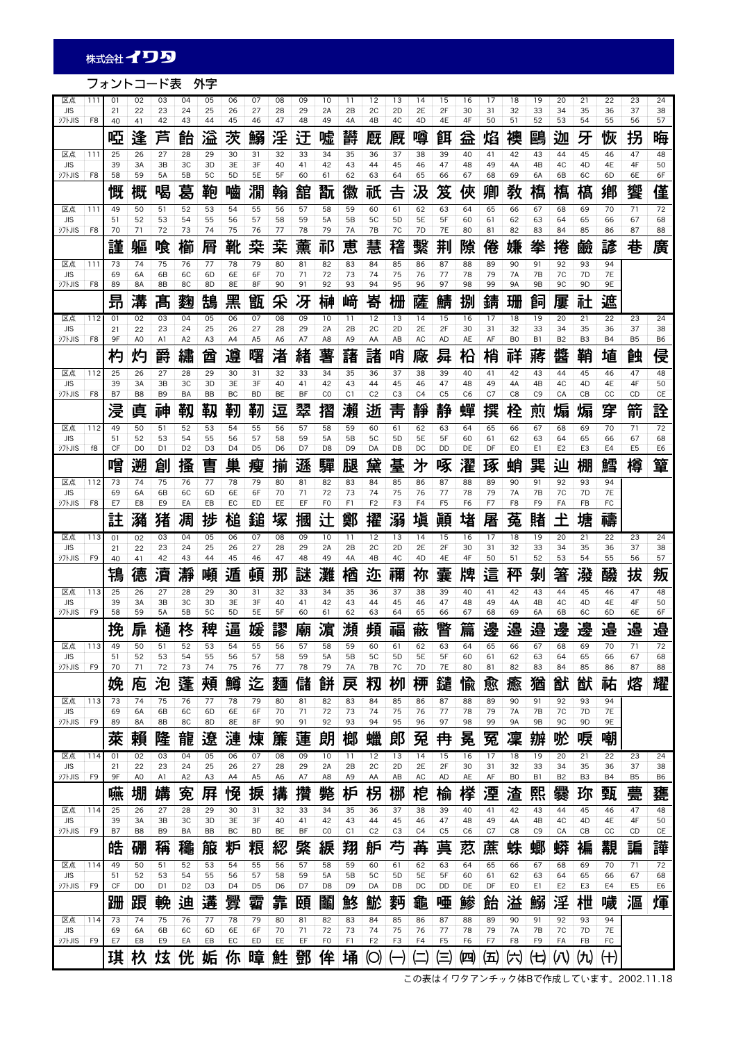## フォントコード表 外字

| 区点<br><b>JIS</b>            | 111            | 01<br>21  | 02<br>22       | 03<br>23            | 04<br>24       | 05<br>25       | 06<br>26             | 07<br>27       | 08<br>28       | 09<br>29  | 10<br>2A            | 11<br>2B       | 12<br>2C                         | 13<br>2D             | 14<br>2E       | 15<br>2F            | 16<br>30       | 17<br>31       | 18<br>32               | 19<br>33        | 20<br>34           | 21<br>35             | 22<br>36        | 23<br>37       | 24<br>38  |
|-----------------------------|----------------|-----------|----------------|---------------------|----------------|----------------|----------------------|----------------|----------------|-----------|---------------------|----------------|----------------------------------|----------------------|----------------|---------------------|----------------|----------------|------------------------|-----------------|--------------------|----------------------|-----------------|----------------|-----------|
| <b>シフトJIS</b>               | F8             | 40        | 41             | 42                  | 43             | 44             | 45                   | 46             | 47             | 48        | 49                  | 4A             | 4B                               | 4C                   | 4D             | 4E                  | 4F             | 50             | 51                     | 52              | 53                 | 54                   | 55              | 56             | 57        |
|                             |                | 啞         | 逢              | 苩                   | 飴              | 溢              | 茨                    | 鰯              | 淫              | 迂         | 嘘                   | 欝              | 廐                                | 厩                    | 噂              | 餌                   | 益              | 焰              | 襖                      | 鷗               | 迦                  | 牙                    | 恢               | 拐              | 晦         |
| 区点<br><b>JIS</b>            | 111            | 25<br>39  | 26<br>3A       | 27<br>3B            | 28<br>3C       | 29<br>3D       | 30<br>3E             | 31<br>3F       | 32<br>40       | 33<br>41  | 34<br>42            | 35<br>43       | 36<br>44                         | 37<br>45             | 38<br>46       | 39<br>47            | 40<br>48       | 41<br>49       | 42<br>4A               | 43<br>4B        | 44<br>4C           | 45<br>4D             | 46<br>4E        | 47<br>4F       | 48<br>50  |
| <b>シフトJIS</b>               | F8             | 58        | 59             | 5A                  | 5B             | 5C             | 5 <sub>D</sub>       | 5E             | 5F             | 60        | 61                  | 62             | 63                               | 64                   | 65             | 66                  | 67             | 68             | 69                     | 6A              | 6B                 | 6C                   | 6D              | 6E             | 6F        |
| 区点                          | 111            | 慨<br>49   | 概<br>50        | 喝<br>51             | 葛<br>52        | 鞄<br>53        | 嚙<br>54              | 澗<br>55        | 翰<br>56        | 舘<br>57   | 翫<br>58             | 徽<br>59        | 祇<br>60                          | 吉<br>61              | 汲<br>62        | 笈<br>63             | 俠<br>64        | 卿<br>65        | 敎<br>66                | 槗<br>67         | 槗<br>68            | 槗<br>69              | 鄕<br>70         | 饗<br>71        | 僅<br>72   |
| <b>JIS</b>                  |                | 51        | 52             | 53                  | 54             | 55             | 56                   | 57             | 58             | 59        | <b>5A</b>           | 5B             | 5C                               | 5 <sub>D</sub>       | 5E             | 5F                  | 60             | 61             | 62                     | 63              | 64                 | 65                   | 66              | 67             | 68        |
| <b>シフトJIS</b>               | F8             | 70<br>謹   | 71<br>軀        | 72<br>喰             | 73<br>櫛        | 74<br>屑        | 75<br>靴              | 76<br>桒        | 77<br>桒        | 78<br>薰   | 79<br>祁             | 7A<br>恵        | 7B<br>慧                          | 7C<br>稽              | 7D<br>繫        | 7E<br>荆             | 80<br>隙        | 81<br>倦        | 82<br>嫌                | 83<br>拳         | 84<br>捲            | 85<br>鹼              | 86<br>諺         | 87<br>巷        | 88<br>廣   |
| 区点                          | 111            | 73        | 74             | 75                  | 76             | 77             | 78                   | 79             | 80             | 81        | 82                  | 83             | 84                               | 85                   | 86             | 87                  | 88             | 89             | 90                     | 91              | 92                 | 93                   | 94              |                |           |
| <b>JIS</b><br>シフトJIS        | F8             | 69<br>89  | 6A<br>8A       | 6B<br>8B            | 6C<br>8C       | 6D<br>8D       | 6E<br>8E             | 6F<br>8F       | 70<br>90       | 71<br>91  | 72<br>92            | 73<br>93       | 74<br>94                         | 75<br>95             | 76<br>96       | 77<br>97            | 78<br>98       | 79<br>99       | <b>7A</b><br><b>9A</b> | 7B<br><b>9B</b> | 7C<br>9C           | 7D<br>9D             | <b>7E</b><br>9E |                |           |
|                             |                | 卭         | 溝              | 髙                   | 麴              | 鵠              | 黑                    | 甑              | 采              | 冴         | 榊                   | 崹              | 嵜                                | 栅                    | 薩              | 鯖                   | 捌              | 錆              | 珊                      | 飼               | 屢                  | 社                    | 遮               |                |           |
| 区点<br><b>JIS</b>            | 112            | 01<br>21  | 02<br>22       | 03<br>23            | 04<br>24       | 05<br>25       | 06<br>26             | 07<br>27       | 08<br>28       | 09<br>29  | 10<br>2A            | 11<br>2B       | 12<br>2C                         | 13<br>2D             | 14<br>2E       | 15<br>2F            | 16<br>30       | 17<br>31       | 18<br>32               | 19<br>33        | 20<br>34           | 21<br>35             | 22<br>36        | 23<br>37       | 24<br>38  |
| <b>シフトJIS</b>               | F8             | 9F        | A <sub>0</sub> | A1                  | A2             | A <sub>3</sub> | A4                   | A <sub>5</sub> | A <sub>6</sub> | A7        | A8                  | A <sub>9</sub> | AA                               | AB                   | AC             | <b>AD</b>           | AE             | AF             | B <sub>0</sub>         | B1              | B <sub>2</sub>     | B <sub>3</sub>       | <b>B4</b>       | B <sub>5</sub> | <b>B6</b> |
|                             |                | 杓         | 灼              | 爵                   | 繡              | 酋              | 遵                    | 曙              | 渚              | 緖         | 薯                   | 藷              | 諸                                | 哨                    | 廠              | 曻                   | 柗              | 梢              | 祥                      | 蔣               | 醬                  | 鞘                    | 埴               | 蝕              | 侵         |
| 区点<br><b>JIS</b>            | 112            | 25<br>39  | 26<br>3A       | 27<br>3B            | 28<br>ЗC       | 29<br>3D       | 30<br>3E             | 31<br>3F       | 32<br>40       | 33<br>41  | 34<br>42            | 35<br>43       | 36<br>44                         | 37<br>45             | 38<br>46       | 39<br>47            | 40<br>48       | 41<br>49       | 42<br>4A               | 43<br>4B        | 44<br>4C           | 45<br>4 <sub>D</sub> | 46<br>4E        | 47<br>4F       | 48<br>50  |
| <b>シフトJIS</b>               | F <sub>8</sub> | <b>B7</b> | B <sub>8</sub> | B <sub>9</sub>      | BA             | <b>BB</b>      | BC                   | <b>BD</b>      | BE             | <b>BF</b> | CO                  | C1             | C <sub>2</sub>                   | C <sub>3</sub>       | C <sub>4</sub> | C <sub>5</sub>      | C <sub>6</sub> | C <sub>7</sub> | C <sub>8</sub>         | C <sub>9</sub>  | CA                 | CB                   | cc              | CD             | CE        |
|                             |                | 浸         | 真              | 神                   | 靱              | 靱              | 靭                    | 靭              | 逗              | 翠         | 摺                   | 瀨              | 逝                                | 靑                    | 靜              | 静                   | 蟬              | 撰              | 栓                      | 煎               | 煽                  | 煽                    | 穿               | 箭              | 詮         |
| 区点<br><b>JIS</b>            | 112            | 49<br>51  | 50<br>52       | 51<br>53            | 52<br>54       | 53<br>55       | 54<br>56             | 55<br>57       | 56<br>58       | 57<br>59  | 58<br>5A            | 59<br>5B       | 60<br>5C                         | 61<br>5 <sub>D</sub> | 62<br>5E       | 63<br>5F            | 64<br>60       | 65<br>61       | 66<br>62               | 67<br>63        | 68<br>64           | 69<br>65             | 70<br>66        | 71<br>67       | 72<br>68  |
| <b>シフトJIS</b>               | f8             | CF        | D <sub>0</sub> | D1                  | D <sub>2</sub> | D <sub>3</sub> | D <sub>4</sub>       | D <sub>5</sub> | D <sub>6</sub> | D7        | D <sub>8</sub>      | D <sub>9</sub> | DA                               | DB                   | DC             | DD                  | DE             | DF             | EO                     | E1              | E <sub>2</sub>     | E <sub>3</sub>       | E4              | E <sub>5</sub> | E6        |
| 区点                          | 112            | 噌<br>73   | 遡<br>74        | 創<br>75             | 搔<br>76        | 曺<br>77        | 巣<br>78              | 瘦<br>79        | 揃<br>80        | 遜<br>81   | 驒<br>82             | 腿<br>83        | 黛<br>84                          | 堇<br>85              | 为<br>86        | 啄<br>87             | 濯<br>88        | 琢<br>89        | 蛸<br>90                | 巽<br>91         | 辿<br>92            | 棚<br>93              | 鱈<br>94         | 樽              | 簞         |
| <b>JIS</b>                  |                | 69        | 6A             | 6B                  | 6C             | 6D             | 6E                   | 6F             | 70             | 71        | 72                  | 73             | 74                               | 75                   | 76             | 77                  | 78             | 79             | 7A                     | 7B              | 7C                 | 7D                   | <b>7E</b>       |                |           |
| <b>シフトJIS</b>               | F8             | E7<br>註   | E8<br>瀦        | E <sub>9</sub><br>猪 | EA<br>凋        | EB<br>捗        | EC<br>槌              | ED<br>鎚        | EE<br>塚        | EF<br>摑   | F <sub>0</sub><br>辻 | F1<br>鄭        | F <sub>2</sub><br>擢              | F <sub>3</sub><br>溺  | F4<br>塡        | F <sub>5</sub><br>顚 | F6<br>堵        | F7<br>屠        | F8<br>菟                | F9<br>賭         | FA<br>十            | FB<br>塘              | FC<br>禱         |                |           |
|                             |                |           |                |                     |                |                |                      |                |                |           |                     |                |                                  |                      |                |                     |                |                |                        |                 |                    |                      |                 |                |           |
| 区点                          | 113            | 01        | 02             | 03                  | 04             | 05             | 06                   | 07             | 08             | 09        | 10                  | 11             | 12                               | 13                   | 14             | 15                  | 16             | 17             | 18                     | 19              | 20                 | 21                   | 22              | 23             | 24        |
| <b>JIS</b>                  |                | 21        | 22             | 23                  | 24             | 25             | 26                   | 27             | 28             | 29        | 2A                  | 2B             | 2C                               | 2D                   | 2E             | 2F                  | 30             | 31             | 32                     | 33              | 34                 | 35                   | 36              | 37             | 38        |
| <b>シフトJIS</b>               | F <sub>9</sub> | 40        | 41             | 42                  | 43             | 44             | 45                   | 46             | 47             | 48        | 49                  | 4A             | 4B                               | 4C                   | 4D             | 4E                  | 4F             | 50             | 51                     | 52              | 53                 | 54                   | 55              | 56             | 57        |
| 区点                          | 113            | 鴇<br>25   | 德<br>26        | 瀆<br>27             | 瀞<br>28        | 噸<br>29        | 遁<br>30              | 頓<br>31        | 那<br>32        | 謎<br>33   | 灘<br>34             | 楢<br>35        | 迩<br>36                          | 禰<br>37              | 祢<br>38        | 囊<br>39             | 牌<br>40        | 這<br>41        | 秤<br>42                | 剝<br>43         | 箸<br>44            | 潑<br>45              | 醱<br>46         | 拔<br>47        | 叛<br>48   |
| <b>JIS</b><br><b>シフトJIS</b> | F9             | 39<br>58  | 3A<br>59       | 3B<br>5A            | ЗC<br>5Β       | 3D<br>5C       | 3E<br>5 <sub>D</sub> | 3F<br>5E       | 40<br>5F       | 41<br>60  | 42<br>61            | 43<br>62       | 44<br>63                         | 45<br>64             | 46<br>65       | 47<br>66            | 48<br>67       | 49<br>68       | 4A<br>69               | 4B<br>6A        | 4C<br>6B           | 4D<br>6C             | 4E<br>6D        | 4F<br>6E       | 50<br>6F  |
|                             |                | 挽         | 扉              | 樋                   | 柊              | 稗              | 逼                    | 媛              | 謬              | 廟         | 濵                   | 瀕              | 頻                                | 福                    | 蔽              | 暼                   | 篇              | 邊              | 邉                      | 邉               | 邊                  | 邊                    | 邉               | 邉              | 邉         |
| 区点                          | 113            | 49        | 50             | 51                  | 52             | 53             | 54                   | 55             | 56             | 57        | 58                  | פכ             | 60                               | 61                   | 62             | 63                  | 64             | 65             | 66                     | 67              | 68                 | 69                   | 70              | 71             | 72        |
| <b>JIS</b><br>シフトJIS        | F9             | 51<br>70  | 52<br>71       | 53<br>72            | 54<br>73       | 55<br>74       | 56<br>75             | 57<br>76       | 58<br>77       | 59<br>78  | 5A<br>79            | 5B<br>7A       | <b>5C</b><br>7B                  | 5 <sub>D</sub><br>7C | 5E<br>7D       | 5F<br><b>7E</b>     | 60<br>80       | 61<br>81       | 62<br>82               | 63<br>83        | 64<br>84           | 65<br>85             | 66<br>86        | 67<br>87       | 68<br>88  |
|                             |                | 娩         | 庖              | 泡                   | 蓬              | 頰              | 鱒                    | 迄              | 麵              | 儲         | 餅                   | 戻              | 籾                                | 栁                    | 桺              | 鑓                   | 愉              | 愈              | 癒                      | 猶               | 猷                  | 猷                    | 祐               | 熔              | 耀         |
| 区点<br><b>JIS</b>            | 113            | 73<br>69  | 74<br>6A       | 75<br>6B            | 76<br>6C       | 77<br>6D       | 78<br>6E             | 79<br>6F       | 80<br>70       | 81<br>71  | 82<br>72            | 83<br>73       | 84<br>74                         | 85<br>75             | 86<br>76       | 87<br>77            | 88<br>78       | 89<br>79       | 90<br>7A               | 91<br>7B        | 92<br>7C           | 93<br>7D             | 94              |                |           |
| <b>シフトJIS</b>               | F <sub>9</sub> | 89        | 8A             | 8B                  | 8C             | 8D             | 8E                   | 8F             | 90             | 91        | 92                  | 93             | 94                               | 95                   | 96             | 97                  | 98             | 99             | <b>9A</b>              | 9Β              | 9C                 | 9D                   | 7E<br>9E        |                |           |
|                             |                | 萊         | 賴              | 隆                   | 龍              | 遼              | 漣                    | 煉              | 簾              | 蓮         | 朗                   | 榔              | 蠟                                | 郞                    | 冤              | 冉                   | 冕              | 冤              | 凜                      | 辦               | 唹                  | 唳                    | 嘲               |                |           |
| 区点<br><b>JIS</b>            | 114            | 01<br>21  | 02<br>22       | 03<br>23            | 04<br>24       | 05<br>25       | 06<br>26             | 07<br>27       | 08<br>28       | 09<br>29  | 10<br>2A            | 11<br>2B       | 12<br>2C                         | 13<br>2D             | 14<br>2E       | 15<br>2F            | 16<br>30       | 17<br>31       | 18<br>32               | 19<br>33        | 20<br>34           | 21<br>35             | 22<br>36        | 23<br>37       | 24<br>38  |
| <b>シフトJIS</b>               | F9             | 9F        | A <sub>0</sub> | A1                  | A <sub>2</sub> | A3             | A4                   | A <sub>5</sub> | A6             | A7        | A8                  | A9             | AA                               | AB                   | AC             | AD                  | AE             | AF             | B <sub>0</sub>         | B1              | B <sub>2</sub>     | B <sub>3</sub>       | <b>B4</b>       | B <sub>5</sub> | B6        |
|                             |                | 嚥         | 堋              | 媾                   | 寃              | 屛              | 怳                    | 捩              | 搆              | 攢         | 斃                   | 枦              | 柺                                | 梛                    | 梎              | 榆                   | 榉              | 湮              | 渣                      | 煕               | 爨                  | 珎                    | 甄               | 覀<br>云         | 甕         |
| 区点<br><b>JIS</b>            | 114            | 25<br>39  | 26<br>3A       | 27<br>3B            | 28<br>ЗC       | 29<br>3D       | 30<br>3E             | 31<br>3F       | 32<br>40       | 33<br>41  | 34<br>42            | 35<br>43       | 36<br>44                         | 37<br>45             | 38<br>46       | 39<br>47            | 40<br>48       | 41<br>49       | 42<br>4A               | 43<br>4B        | 44<br>4C           | 45<br>4D             | 46<br>4E        | 47<br>4F       | 48<br>50  |
| <b>シフトJIS</b>               | F <sub>9</sub> | B7        | B8             | B <sub>9</sub>      | BA             | BB             | BC                   | <b>BD</b>      | BE             | BF        | $_{\rm CO}$         | C1             | C <sub>2</sub>                   | C <sub>3</sub>       | C4             | C <sub>5</sub>      | C <sub>6</sub> | C7             | C8                     | C <sub>9</sub>  | CA                 | CB                   | cc              | CD             | CE        |
|                             |                | 皓         | 硼              | 稱                   | 龝              | 箙              | 粐                    | 粮              | 綛              | 綮         | 綟                   | 翔              | 舮                                | 芍                    | 苒              | 茣                   | 荵              | 蔗              | 蛛                      | 螂               | 蟒                  | 褊                    | 覯               | 諞              | 譁         |
| 区点<br><b>JIS</b>            | 114            | 49<br>51  | 50<br>52       | 51<br>53            | 52<br>54       | 53<br>55       | 54<br>56             | 55<br>57       | 56<br>58       | 57<br>59  | 58<br>5A            | 59<br>5B       | 60<br>5C                         | 61<br>5D             | 62<br>5E       | 63<br>5F            | 64<br>60       | 65<br>61       | 66<br>62               | 67<br>63        | 68<br>64           | 69<br>65             | 70<br>66        | 71<br>67       | 72<br>68  |
| 沙hJIS                       | F9             | CF        | D <sub>0</sub> | D <sub>1</sub>      | D <sub>2</sub> | D <sub>3</sub> | D <sub>4</sub>       | D <sub>5</sub> | D <sub>6</sub> | D7        | D <sub>8</sub>      | D <sub>9</sub> | DA                               | DB                   | DC             | DD                  | DE             | DF             | EO                     | E1              | E <sub>2</sub>     | E3                   | E4              | E <sub>5</sub> | E6        |
| 区点                          | 114            | 跚<br>73   | 跟<br>74        | 輓<br>75             | 迪<br>76        | 遘<br>77        | 釁<br>78              | 霤<br>79        | 靠<br>80        | 頤<br>81   | 鬮<br>82             | 鮗<br>83        | 鯲<br>84                          | 麪<br>85              | 龜<br>86        | 唖<br>87             | 鯵<br>88        | 飴<br>89        | 溢<br>90                | 鰯<br>91         | 淫<br>92            | 枻<br>93              | 噦<br>94         | 漚              | 煇         |
| <b>JIS</b>                  |                | 69        | 6A             | 6B                  | 6C             | 6D             | 6E                   | 6F             | 70             | 71        | 72                  | 73             | 74                               | 75                   | 76             | 77                  | 78             | 79             | 7A                     | 7B              | 7C                 | 7D                   | <b>7E</b>       |                |           |
| <b>シフトJIS</b>               | F9             | E7<br>琪   | E8<br>杦        | E9<br>炫             | EA<br>侊        | EB<br>姤        | EC<br>你              | ED<br>暲        | EE<br>鮏        | EF<br>鄧   | F <sub>0</sub><br>侔 | F1<br>埇        | F <sub>2</sub><br>$\circledcirc$ | F3                   | F4             | F <sub>5</sub><br>Ξ | F6<br>四        | F7<br>(五)      | F8<br>穴                | F9<br>(七)       | FA<br>$(\sqrt{2})$ | FB<br>(九)            | FC<br>$^{(+)}$  |                |           |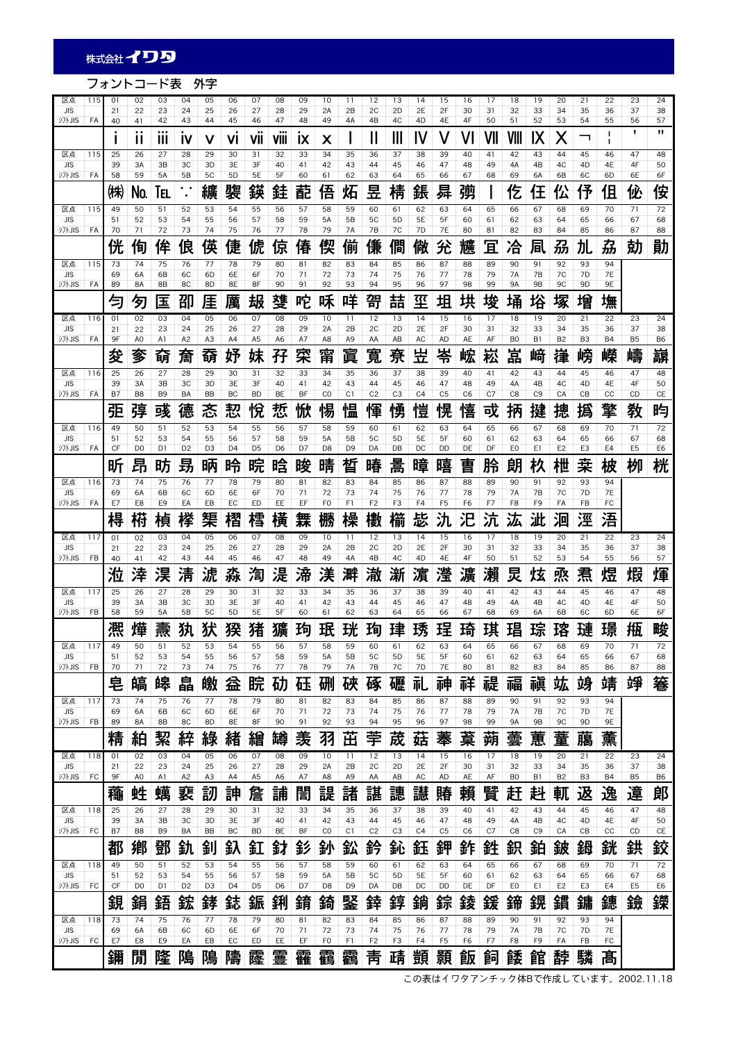フォントコード表 外字

| 区点<br><b>JIS</b>            | 115 | 01<br>21 | 02<br>22             | 03<br>23            | 04<br>24               | 05<br>25             | 06<br>26             | 07<br>27             | 08<br>28             | 09<br>29  | 10<br>2A             | 11<br>2B             | 12<br>2C             | 13<br>2D             | 14<br>2E            | 15<br>2F             | 16<br>30       | 17<br>31  | 18<br>32            | 19<br>33            | 20<br>34             | 21<br>35            | 22<br>36        | 23<br>37             | 24<br>38                          |
|-----------------------------|-----|----------|----------------------|---------------------|------------------------|----------------------|----------------------|----------------------|----------------------|-----------|----------------------|----------------------|----------------------|----------------------|---------------------|----------------------|----------------|-----------|---------------------|---------------------|----------------------|---------------------|-----------------|----------------------|-----------------------------------|
| <b>シフトJIS</b>               | FA  | 40       | 41<br>$\blacksquare$ | 42<br>              | 43                     | 44                   | 45                   | 46                   | 47<br>               | 48        | 49                   | 4A                   | 4B                   | 4C                   | 4D                  | 4E                   | 4F             | 50        | 51                  | 52                  | 53                   | 54                  | 55<br>п         | 56<br>п              | 57<br>п                           |
| 区点                          | 115 | 25       | Ш<br>26              | Ш<br>27             | IV<br>28               | 29                   | VI<br>30             | VII<br>31            | VIII<br>32           | IX<br>33  | Х<br>34              | 35                   | Ш<br>36              | Ш<br>37              | IV<br>38            | 39                   | 40             | VII<br>41 | 42                  | IХ<br>43            | Х<br>44              | ᄀ<br>45             | ı<br>46         | 47                   | 48                                |
| <b>JIS</b><br><b>シフトJIS</b> | FA  | 39<br>58 | 3A<br>59             | 3B<br>5A            | ЗC<br>5B               | 3D<br>5C             | 3E<br>5 <sub>D</sub> | 3F<br>5E             | 40<br>5F             | 41<br>60  | 42<br>61             | 43<br>62             | 44<br>63             | 45<br>64             | 46<br>65            | 47<br>66             | 48<br>67       | 49<br>68  | 4A<br>69            | 4B<br>6A            | 4C<br>6B             | 4D<br>6C            | 4E<br>6D        | 4F<br>6E             | 50<br>6F                          |
|                             |     | ㈱        | No.                  | IEL                 | $\cdot$ .<br>$\bullet$ | 纊                    | 褜                    | 鍈                    | 銈                    | 蓜         | 俉                    | 炻                    | 봎                    | 棈                    | 鋹                   | 曻                    | 彅              |           | 仡                   | 仼                   | 伀                    | 伃                   | 伹               | 佖                    | 侒                                 |
| 区点                          | 115 | 49       | 50                   | 51                  | 52                     | 53                   | 54                   | 55                   | 56                   | 57        | 58                   | 59                   | 60                   | 61                   | 62                  | 63                   | 64             | 65        | 66                  | 67                  | 68                   | 69                  | 70              | 71                   | 72                                |
| <b>JIS</b><br><b>シフトJIS</b> | FA  | 51<br>70 | 52<br>71             | 53<br>72            | 54<br>73               | 55<br>74             | 56<br>75             | 57<br>76             | 58<br>77             | 59<br>78  | 5A<br>79             | 5B<br>7A             | 5C<br>7B             | 5 <sub>D</sub><br>7C | 5E<br>7D            | 5F<br>7E             | 60<br>80       | 61<br>81  | 62<br>82            | 63<br>83            | 64<br>84             | 65<br>85            | 66<br>86        | 67<br>87             | 68<br>88                          |
|                             |     | 侊        | 侚                    | 侔                   | 俍                      | 偀                    | 倢                    | 俿                    | 倞                    | 偆         | 偰                    | 俪                    | 傔                    | 僴                    | 僘                   | 兊                    | 兤              | 冝         | 冾                   | 凬                   | 刕                    | 劜                   | 劦               | 勀                    | 勛                                 |
| 区点<br><b>JIS</b>            | 115 | 73<br>69 | 74<br>6A             | 75<br>6B            | 76<br>6C               | 77<br>6D             | 78<br>6E             | 79<br>6F             | 80<br>70             | 81<br>71  | 82<br>72             | 83<br>73             | 84<br>74             | 85<br>75             | 86<br>76            | 87<br>77             | 88<br>78       | 89<br>79  | 90<br>7A            | 91<br>7B            | 92<br>7C             | 93<br>7D            | 94<br><b>7E</b> |                      |                                   |
| シフトJIS                      | FA  | 89       | 8A                   | 8B                  | 8C                     | 8D                   | 8E                   | 8F                   | 90                   | 91        | 92                   | 93                   | 94                   | 95                   | 96                  | 97                   | 98             | 99        | <b>9A</b>           | <b>9B</b>           | 9C                   | 9D                  | 9E              |                      |                                   |
|                             |     |          | 匇                    | 压                   | 卲                      | 厓                    | 厲                    | 叝                    | 癹                    | 咜         | 咊                    | 咩                    | 哿                    | 喆                    | 坙                   | 坥                    | 垬              | 埈         | 埇                   | 焀                   | 塚                    | 增                   | 墲               |                      |                                   |
| 区点<br><b>JIS</b>            | 116 | 01<br>21 | 02<br>22             | 03<br>23            | 04<br>24               | 05<br>25             | 06<br>26             | 07<br>27             | 08<br>28             | 09<br>29  | 10<br>2A             | -11<br>2B            | 12<br>2C             | 13<br>2D             | 14<br>2E            | 15<br>2F             | 16<br>30       | 17<br>31  | 18<br>32            | 19<br>33            | 20<br>34             | 21<br>35            | 22<br>36        | 23<br>37             | 24<br>38                          |
| <b>シフトJIS</b>               | FA  | 9F       | A <sub>0</sub>       | A1                  | A <sub>2</sub>         | A <sub>3</sub>       | A4                   | A <sub>5</sub>       | A <sub>6</sub>       | A7        | A8                   | A <sub>9</sub>       | AA                   | AB                   | AC                  | <b>AD</b>            | AE             | AF        | B <sub>0</sub>      | B1                  | B <sub>2</sub>       | B <sub>3</sub>      | <b>B4</b>       | B <sub>5</sub>       | B <sub>6</sub>                    |
| 区点                          | 116 | 夋<br>25  | 奓<br>26              | 奛<br>27             | 奝<br>28                | 奣<br>29              | 妤<br>30              | 妹<br>31              | 孖<br>32              | 寀<br>33   | 甯<br>34              | 眞<br>35              | 寬<br>36              | 尞<br>37              | 뿦<br>38             | 岺<br>39              | 峵<br>40        | 崧<br>41   | 嵓<br>42             | 﨑<br>43             | 嵂<br>44              | 嵭<br>45             | 嶸<br>46         | 嶹<br>47              | 巐<br>48                           |
| <b>JIS</b>                  |     | 39       | 3A                   | 3B                  | ЗC                     | 3D                   | 3E                   | 3F                   | 40                   | 41        | 42                   | 43                   | 44                   | 45                   | 46                  | 47                   | 48             | 49        | 4A                  | 4B                  | 4C                   | 4D                  | 4E              | 4F                   | 50                                |
| <b>シフトJIS</b>               | FA  | B7       | B <sub>8</sub>       | B <sub>9</sub>      | BA                     | <b>BB</b>            | BC                   | <b>BD</b>            | BE                   | <b>BF</b> | CO                   | C1<br>旧              | C <sub>2</sub>       | C <sub>3</sub>       | C <sub>4</sub>      | C <sub>5</sub>       | C <sub>6</sub> | C7        | C <sub>8</sub>      | C <sub>9</sub>      | CA                   | CB                  | CC              | CD                   | CE                                |
| 区点                          | 116 | 弡<br>49  | 弴<br>50              | 彧<br>51             | 德<br>52                | 忞<br>53              | 恝<br>54              | 悅<br>55              | 焎<br>56              | 惞<br>57   | 惕<br>58              | ۱m<br>59             | 惲<br>60              | 愑<br>61              | 愷<br>62             | 愰<br>63              | 憘<br>64        | 戓<br>65   | 抦<br>66             | 揵<br>67             | 摠<br>68              | 撝<br>69             | 擎<br>70         | 敎<br>71              | 呁<br>72                           |
| <b>JIS</b>                  |     | 51       | 52                   | 53                  | 54                     | 55                   | 56                   | 57                   | 58                   | 59        | 5A                   | 5B                   | 5C                   | 5D                   | 5E                  | 5F                   | 60             | 61        | 62                  | 63                  | 64                   | 65                  | 66              | 67                   | 68                                |
| <b>シフトJIS</b>               | FA  | CF       | D <sub>0</sub>       | D1                  | D <sub>2</sub>         | D <sub>3</sub>       | D <sub>4</sub>       | D <sub>5</sub>       | D <sub>6</sub>       | D7        | D <sub>8</sub>       | D <sub>9</sub>       | DA                   | DB                   | DC                  | <b>DD</b>            | DE             | DF        | E <sub>0</sub>      | E1                  | E <sub>2</sub>       | E3                  | E4              | E <sub>5</sub>       | E6                                |
| 区点                          | 116 | 昕<br>73  | 昂<br>74              | 昉<br>75             | 昮<br>76                | 昞<br>77              | 昤<br>78              | 晥<br>79              | 晗<br>80              | 晙<br>81   | 晴<br>82              | 晳<br>83              | 暙<br>84              | 暠<br>85              | 暲<br>86             | 暿<br>87              | 曺<br>88        | 朎<br>89   | 朗<br>90             | 杦<br>91             | 枻<br>92              | 桒<br>93             | 柀<br>94         | 栁                    | 桄                                 |
| <b>JIS</b>                  |     | 69       | 6A                   | 6B                  | 6C                     | 6D                   | 6E                   | 6F                   | 70                   | 71        | 72                   | 73                   | 74                   | 75                   | 76                  | 77                   | 78             | 79        | 7A                  | 7B                  | 7C                   | 7D                  | <b>7E</b>       |                      |                                   |
| <b>シフトJIS</b>               | FA  | E7       | E8                   | E <sub>9</sub>      | EA                     | EB                   | EC                   | ED                   | EE                   | EF        | F <sub>0</sub>       | F1                   | F <sub>2</sub>       | F3                   | F4                  | F <sub>5</sub>       | F <sub>6</sub> | F7        | F8                  | F9                  | FA                   | FB                  | FC              |                      |                                   |
|                             |     | 棏        | 槆                    | 楨                   | 榉                      | 榘                    | 槢                    | 樰                    | 橫                    | 橆         | 橳                    | 橾                    | 櫢                    | 櫤                    | 毖                   | 氿                    | 汜              | 沆         | 汯                   | 泚                   | 洄                    | 涇                   | 浯               |                      |                                   |
| 区点<br><b>JIS</b>            | 117 | 01<br>21 | 02<br>22             | 03<br>23            | 04<br>24               | 05<br>25             | 06<br>26             | 07<br>27             | 08<br>28             | 09<br>29  | 10<br>2A             | 11<br>2B             | 12<br>2C             | 13<br>2D             | 14<br>2E            | 15<br>2F             | 16<br>30       | 17<br>31  | 18<br>32            | 19<br>33            | 20<br>34             | 21<br>35            | 22<br>36        | 23<br>37             | 24<br>38                          |
| <b>シフトJIS</b>               | FB  | 40       | 41                   | 42                  | 43                     | 44                   | 45                   | 46                   | 47<br>:⊟             | 48        | 49                   | 4A                   | 4B                   | 4C                   | 4 <sub>D</sub>      | 4E                   | 4F             | 50        | 51                  | 52                  | 53                   | 54                  | 55              | 56                   | 57                                |
| 区点                          | 117 | 涖<br>25  | 涬<br>26              | 淏<br>27             | 淸<br>28                | 淲<br>29              | 淼<br>30              | 湻<br>31              | 冹<br>32              | 渧<br>33   | 渼<br>34              | 溿<br>35              | 澈<br>36              | 澵<br>37              | 濵<br>38             | 瀅<br>39              | 瀇<br>40        | 瀨<br>41   | 炅<br>42             | 炫<br>43             | 焏<br>44              | 焄<br>45             | 煜<br>46         | 煆<br>47              | 煇<br>48                           |
| <b>JIS</b>                  |     | 39       | 3A                   | 3B                  | ЗC                     | 3D                   | 3E                   | 3F                   | 40                   | 41        | 42                   | 43                   | 44                   | 45                   | 46                  | 47                   | 48             | 49        | 4A                  | 4B                  | 4C                   | 4D                  | 4E              | 4F                   | 50                                |
| <b>シフトJIS</b>               | FB  | 58       | 59                   | <b>5A</b>           | 5B                     | 5C                   | 5 <sub>D</sub>       | 5E                   | 5F                   | 60        | 61                   | 62                   | 63                   | 64<br>珒              | 65                  | 66                   | 67             | 68        | 69                  | 6A                  | 6B                   | 6C                  | 6D              | 6E                   | 6F                                |
| 区点                          | 117 | 凞        | 燁<br>50              | 燾<br>51             | 犱                      | 犾                    | 猤                    | 猪                    | 獷<br>56              | 玽<br>57   | 珉                    | 珖<br>59              | 玽<br>60              |                      | 琇<br>62             | 珵                    | 琦<br>64        | 琪<br>65   | 琩                   | 琮<br>67             | 瑢                    | 璉                   | 璟               | 甁                    | 畯<br>72                           |
| JIS                         |     | 49<br>51 | 52                   | 53                  | 5∠<br>54               | ၁၁<br>55             | 54<br>56             | ၁၁<br>57             | 58                   | 59        | 58<br>5A             | 5B                   | 5C                   | 61<br>5 <sub>D</sub> | 5E                  | ೲ<br>5F              | 60             | 61        | oo<br>62            | 63                  | 68<br>64             | פס<br>65            | 7 U<br>66       | $\prime$ 1<br>67     | 68                                |
| <b>シフトJIS</b>               | FB  | 70       | 71                   | 72                  | 73                     | 74                   | 75                   | 76                   | 77                   | 78        | 79                   | 7A                   | 7B                   | 7C                   | 7D                  | 7E                   | 80             | 81        | 82                  | 83                  | 84                   | 85                  | 86              | 87                   | 88                                |
| 区点                          | 117 | 皂<br>73  | 皜<br>74              | 皞<br>75             | 皛<br>76                | 皦<br>77              | 益<br>78              | 睆<br>79              | 劯<br>80              | 砡<br>81   | 硎<br>82              | 硤<br>83              | 硺<br>84              | 礰<br>85              | 礼<br>86             | 神<br>87              | 祥<br>88        | 禔<br>89   | 福<br>90             | 禛<br>91             | 竑<br>92              | 竧<br>93             | 靖<br>94         | 竫                    | 箞                                 |
| <b>JIS</b>                  |     | 69       | 6A                   | 6B                  | 6C                     | 6D                   | 6E                   | 6F                   | 70                   | 71        | 72                   | 73                   | 74                   | 75                   | 76                  | 77                   | 78             | 79        | 7A                  | 7В                  | 7C                   | 7D                  | <b>7E</b>       |                      |                                   |
| <b>シフトJIS</b>               | FB  | 89<br>精  | 8A<br>絈              | 8B<br>絜             | 8C<br>綷                | 8D<br>綠              | 8E<br>緖              | 8F<br>繒              | 90<br>罇              | 91<br>羡   | 92<br>羽              | 93<br>茁              | 94<br>荢              | 95<br>荿              | 96<br>菇             | 97<br>菶              | 98<br>葈        | 99<br>蒴   | 9A<br>蕓             | <b>9B</b><br>蕙      | 9C<br>蕫              | 9D<br>﨟             | 9E<br>薰         |                      |                                   |
| 区点                          | 118 | 01       | 02                   | 03                  | 04                     | 05                   | 06                   | 07                   | 08                   | 09        | 10                   | 11                   | 12                   | 13                   | 14                  | 15                   | 16             | 17        | 18                  | 19                  | 20                   | 21                  | 22              | 23                   | 24                                |
| <b>JIS</b>                  |     | 21       | 22                   | 23                  | 24                     | 25                   | 26                   | 27                   | 28                   | 29        | 2A                   | 2B                   | 2C                   | 2D                   | 2E                  | 2F                   | 30             | 31        | 32                  | 33                  | 34                   | 35                  | 36              | 37                   | 38                                |
| <b>シフトJIS</b>               | FC  | 9F       | A <sub>0</sub><br>甡  | A1                  | A <sub>2</sub><br>裵    | A3                   | A4<br>訷              | A <sub>5</sub><br>詹  | A <sub>6</sub>       | A7<br>誾   | A8<br>諟              | A <sub>9</sub><br>諸  | AA<br>諶              | AB<br>譓              | AC<br>譿             | AD                   | AE             | AF<br>贒   | B <sub>0</sub><br>赶 | B1<br>赳             | B <sub>2</sub>       | B <sub>3</sub><br>返 | <b>B4</b><br>逸  | B <sub>5</sub><br>遧  | B6<br>郞                           |
| 区点                          | 118 | 龝<br>25  | 26                   | 蠇<br>27             | 28                     | 訒<br>29              | 30                   | 31                   | 誧<br>32              | 33        | 34                   | 35                   | 36                   | 37                   | 38                  | 賰<br>39              | 賴<br>40        | 41        | 42                  | 43                  | 軏<br>44              | 45                  | 46              | 47                   | 48                                |
| <b>JIS</b>                  |     | 39       | 3A                   | 3B                  | ЗС                     | 3D                   | 3E                   | 3F                   | 40                   | 41        | 42                   | 43                   | 44                   | 45                   | 46                  | 47                   | 48             | 49        | 4A                  | 4B                  | 4C                   | 4D                  | 4E              | 4F                   | 50<br>CE                          |
| <b>COLITY</b>               | FC  | B7       | B8<br>鄕              | B <sub>9</sub><br>鄧 | BA<br>釚                | BB                   | BC<br>釞              | <b>BD</b><br>釭       | BE<br>釮              | BF<br>釤   | $_{\rm CO}$<br>釥     | C1<br>鈆              | C <sub>2</sub><br>鈐  | C <sub>3</sub><br>鈊  | C <sub>4</sub><br>鈺 | C <sub>5</sub><br>鉀  | C <sub>6</sub> | C7<br>鉎   | C8                  | C <sub>9</sub><br>鉑 | CA                   | CB<br>鉧             | cc<br>銧         | CD<br>鉷              | 鉸                                 |
| 区点                          | 118 | 都<br>49  | 50                   | 51                  | 52                     | 釗<br>53              | 54                   | 55                   | 56                   | 57        | 58                   | 59                   | 60                   | 61                   | 62                  | 63                   | 鈼<br>64        | 65        | 鉙<br>66             | 67                  | 鈹<br>68              | 69                  | 70              | 71                   | 72                                |
| <b>JIS</b><br><b>ジフトJIS</b> | FC  | 51<br>CF | 52<br>D <sub>0</sub> | 53<br>D1            | 54<br>D <sub>2</sub>   | 55<br>D <sub>3</sub> | 56<br>D <sub>4</sub> | 57<br>D <sub>5</sub> | 58<br>D <sub>6</sub> | 59<br>D7  | 5A                   | 5B<br>D <sub>9</sub> | 5C<br>DA             | 5 <sub>D</sub><br>DB | 5E<br>DC            | 5F<br>DD             | 60<br>DE       | 61        | 62<br>EO            | 63<br>E1            | 64<br>E <sub>2</sub> | 65<br>E3            | 66<br>E4        | 67<br>E <sub>5</sub> | $\overline{68}$<br>E <sub>6</sub> |
|                             |     | 鋧        | 鋗                    | 鋙                   | 鋐                      | 鋍                    | 鋕                    | 鋠                    | 鋓                    | 錥         | D8<br>錡              | 鋻                    | 鋅                    | 錞                    | 鋿                   | 錝                    | 錂              | DF<br>鍰   | 鍗                   | 鎤                   | 鏆                    | 鏞                   | 鏸               | 鐱                    | 鑅                                 |
| 区点                          | 118 | 73       | 74                   | 75                  | 76                     | 77                   | 78                   | 79                   | 80                   | 81        | 82                   | 83                   | 84                   | 85                   | 86                  | 87                   | 88             | 89        | 90                  | 91                  | 92                   | 93                  | 94              |                      |                                   |
| <b>JIS</b><br><b>シフトJIS</b> | FC  | 69<br>E7 | 6A<br>E8             | 6B<br>E9            | 6C<br>EA               | 6D<br>EB             | 6E<br>EC             | 6F<br>ED             | 70<br>EE             | 71<br>EF  | 72<br>F <sub>0</sub> | 73<br>F1             | 74<br>F <sub>2</sub> | 75<br>F3             | 76<br>F4            | 77<br>F <sub>5</sub> | 78<br>F6       | 79<br>F7  | 7A<br>F8            | 7B<br>F9            | 7C<br>FA             | 7D<br>FB            | <b>7E</b><br>FC |                      |                                   |
|                             |     | 鑈        | 閒                    | 隆                   | 隝                      | 隝                    | 隯                    | 霳                    | 霻                    | 靃         | 靍                    | 靏                    | 靑                    | 靕                    | 顗                   | 顥                    | 飯              | 飼         | 餧                   | 館                   | 馞                    | 驎                   | 髙               |                      |                                   |
|                             |     |          |                      |                     |                        |                      |                      |                      |                      |           |                      |                      |                      |                      |                     |                      |                |           |                     |                     |                      |                     |                 |                      |                                   |